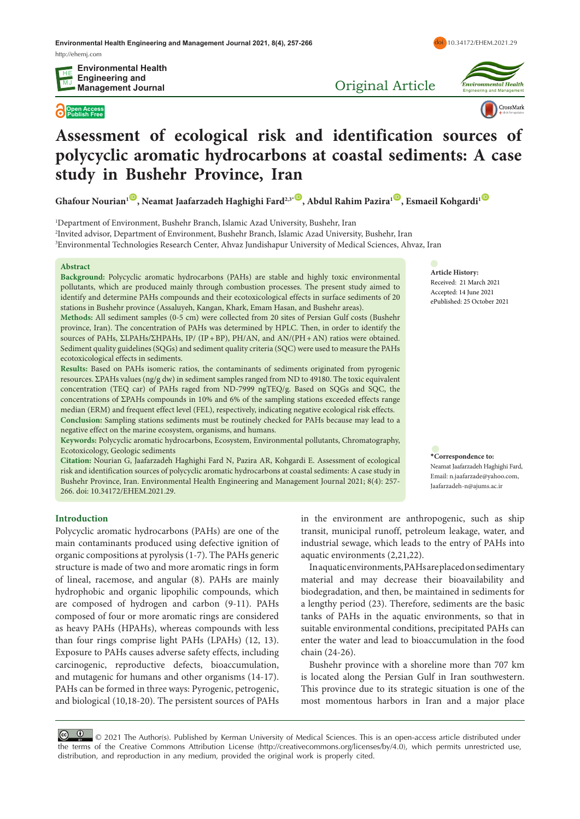**Environmental Health Engineering and Management Journal 2021, 8(4), 257-266** <http://ehemj.com>

**Open Access Publish Free**

Original Article



**Environmental Health**<br>Engineering and Management

doi [10.34172/EHEM.2021.29](https://doi.org/10.34172/EHEM.2021.29)

CrossMark

# **Assessment of ecological risk and identification sources of polycyclic aromatic hydrocarbons at coastal sediments: A case study in Bushehr Province, Iran**

**Ghafour Nourian<sup>1</sup><sup>[ID](http://orcid.org/0000-0003-0550-2133)</sup>, Neamat Jaafarzadeh Haghighi Fard<sup>2,3\*</sup><sup>ID</sup>, Abdul Rahim Pazira<sup>1</sup><sup>ID</sup>, Esmaeil Kohgardi<sup>1</sup><sup>ID</sup>** 

1 Department of Environment, Bushehr Branch, Islamic Azad University, Bushehr, Iran 2 Invited advisor, Department of Environment, Bushehr Branch, Islamic Azad University, Bushehr, Iran 3 Environmental Technologies Research Center, Ahvaz Jundishapur University of Medical Sciences, Ahvaz, Iran

#### **Abstract**

**Background:** Polycyclic aromatic hydrocarbons (PAHs) are stable and highly toxic environmental pollutants, which are produced mainly through combustion processes. The present study aimed to identify and determine PAHs compounds and their ecotoxicological effects in surface sediments of 20 stations in Bushehr province (Assaluyeh, Kangan, Khark, Emam Hasan, and Bushehr areas).

**Methods:** All sediment samples (0-5 cm) were collected from 20 sites of Persian Gulf costs (Bushehr province, Iran). The concentration of PAHs was determined by HPLC. Then, in order to identify the sources of PAHs,  $\Sigma$ LPAHs/ $\Sigma$ HPAHs, IP/ (IP+BP), PH/AN, and AN/(PH+AN) ratios were obtained. Sediment quality guidelines (SQGs) and sediment quality criteria (SQC) were used to measure the PAHs ecotoxicological effects in sediments.

**Results:** Based on PAHs isomeric ratios, the contaminants of sediments originated from pyrogenic resources.  $\Sigma$ PAHs values (ng/g dw) in sediment samples ranged from ND to 49180. The toxic equivalent concentration (TEQ car) of PAHs raged from ND-7999 ngTEQ/g. Based on SQGs and SQC, the concentrations of *ΣPAHs* compounds in 10% and 6% of the sampling stations exceeded effects range median (ERM) and frequent effect level (FEL), respectively, indicating negative ecological risk effects. **Conclusion:** Sampling stations sediments must be routinely checked for PAHs because may lead to a negative effect on the marine ecosystem, organisms, and humans.

**Keywords:** Polycyclic aromatic hydrocarbons, Ecosystem, Environmental pollutants, Chromatography, Ecotoxicology, Geologic sediments

**Citation:** Nourian G, Jaafarzadeh Haghighi Fard N, Pazira AR, Kohgardi E. Assessment of ecological risk and identification sources of polycyclic aromatic hydrocarbons at coastal sediments: A case study in Bushehr Province, Iran. Environmental Health Engineering and Management Journal 2021; 8(4): 257- 266. doi: 10.34172/EHEM.2021.29.

**Introduction**

Polycyclic aromatic hydrocarbons (PAHs) are one of the main contaminants produced using defective ignition of organic compositions at pyrolysis (1-7). The PAHs generic structure is made of two and more aromatic rings in form of lineal, racemose, and angular (8). PAHs are mainly hydrophobic and organic lipophilic compounds, which are composed of hydrogen and carbon (9-11). PAHs composed of four or more aromatic rings are considered as heavy PAHs (HPAHs), whereas compounds with less than four rings comprise light PAHs (LPAHs) (12, 13). Exposure to PAHs causes adverse safety effects, including carcinogenic, reproductive defects, bioaccumulation, and mutagenic for humans and other organisms (14-17). PAHs can be formed in three ways: Pyrogenic, petrogenic, and biological (10,18-20). The persistent sources of PAHs

in the environment are anthropogenic, such as ship transit, municipal runoff, petroleum leakage, water, and industrial sewage, which leads to the entry of PAHs into aquatic environments (2,21,22).

In aquatic environments, PAHs are placed on sedimentary material and may decrease their bioavailability and biodegradation, and then, be maintained in sediments for a lengthy period (23). Therefore, sediments are the basic tanks of PAHs in the aquatic environments, so that in suitable environmental conditions, precipitated PAHs can enter the water and lead to bioaccumulation in the food chain (24-26).

Bushehr province with a shoreline more than 707 km is located along the Persian Gulf in Iran southwestern. This province due to its strategic situation is one of the most momentous harbors in Iran and a major place

© <sup>0</sup> 0 2021 The Author(s). Published by Kerman University of Medical Sciences. This is an open-access article distributed under the terms of the Creative Commons Attribution License (http://creativecommons.org/licenses/by/4.0), which permits unrestricted use, distribution, and reproduction in any medium, provided the original work is properly cited.

**Article History:** Received: 21 March 2021 Accepted: 14 June 2021 ePublished: 25 October 2021

**\*Correspondence to:** Neamat Jaafarzadeh Haghighi Fard, Email: n.jaafarzade@yahoo.com, Jaafarzadeh-n@ajums.ac.ir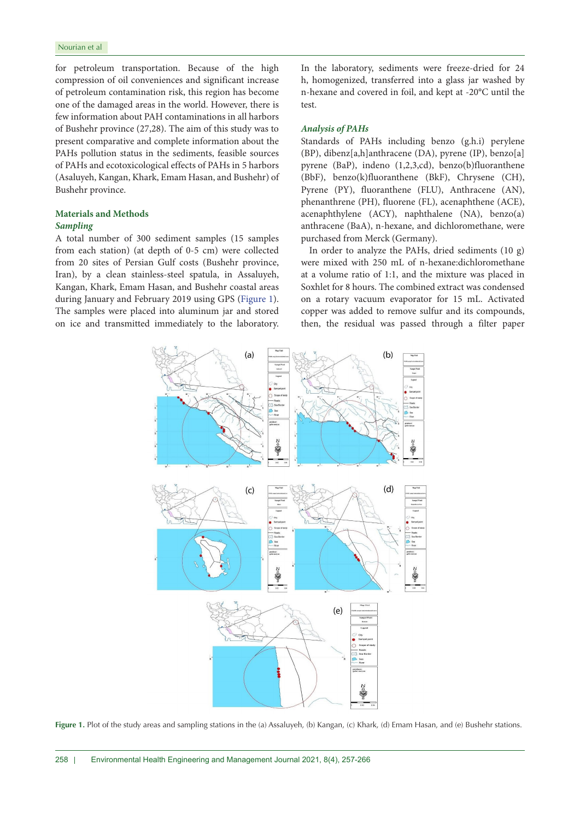for petroleum transportation. Because of the high compression of oil conveniences and significant increase of petroleum contamination risk, this region has become one of the damaged areas in the world. However, there is few information about PAH contaminations in all harbors of Bushehr province (27,28). The aim of this study was to present comparative and complete information about the PAHs pollution status in the sediments, feasible sources of PAHs and ecotoxicological effects of PAHs in 5 harbors (Asaluyeh, Kangan, Khark, Emam Hasan, and Bushehr) of Bushehr province.

# **Materials and Methods** *Sampling*

A total number of 300 sediment samples (15 samples from each station) (at depth of 0-5 cm) were collected from 20 sites of Persian Gulf costs (Bushehr province, Iran), by a clean stainless-steel spatula, in Assaluyeh, Kangan, Khark, Emam Hasan, and Bushehr coastal areas during January and February 2019 using GPS [\(Figure 1\)](#page-1-0). The samples were placed into aluminum jar and stored on ice and transmitted immediately to the laboratory.

In the laboratory, sediments were freeze-dried for 24 h, homogenized, transferred into a glass jar washed by n-hexane and covered in foil, and kept at -20°C until the test.

## *Analysis of PAHs*

Standards of PAHs including benzo (g.h.i) perylene (BP), dibenz[a,h]anthracene (DA), pyrene (IP), benzo[a] pyrene (BaP), indeno (1,2,3,cd), benzo(b)fluoranthene (BbF), benzo(k)fluoranthene (BkF), Chrysene (CH), Pyrene (PY), fluoranthene (FLU), Anthracene (AN), phenanthrene (PH), fluorene (FL), acenaphthene (ACE), acenaphthylene (ACY), naphthalene (NA), benzo(a) anthracene (BaA), n-hexane, and dichloromethane, were purchased from Merck (Germany).

In order to analyze the PAHs, dried sediments (10 g) were mixed with 250 mL of n-hexane:dichloromethane at a volume ratio of 1:1, and the mixture was placed in Soxhlet for 8 hours. The combined extract was condensed on a rotary vacuum evaporator for 15 mL. Activated copper was added to remove sulfur and its compounds, then, the residual was passed through a filter paper

<span id="page-1-0"></span>

**Figure 1.** Plot of the study areas and sampling stations in the (a) Assaluyeh, (b) Kangan, (c) Khark, (d) Emam Hasan, and (e) Bushehr stations.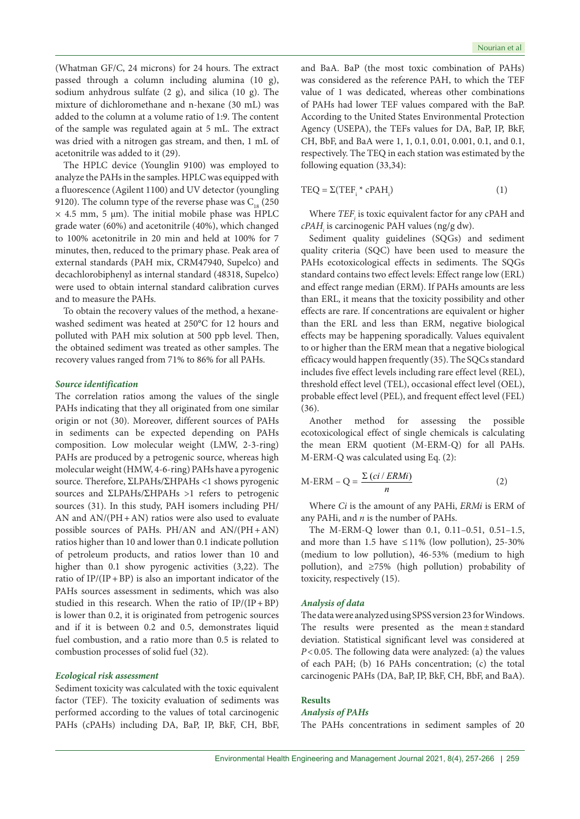(Whatman GF/C, 24 microns) for 24 hours. The extract passed through a column including alumina (10 g), sodium anhydrous sulfate (2 g), and silica (10 g). The mixture of dichloromethane and n-hexane (30 mL) was added to the column at a volume ratio of 1:9. The content of the sample was regulated again at 5 mL. The extract was dried with a nitrogen gas stream, and then, 1 mL of acetonitrile was added to it (29).

The HPLC device (Younglin 9100) was employed to analyze the PAHs in the samples. HPLC was equipped with a fluorescence (Agilent 1100) and UV detector (youngling 9120). The column type of the reverse phase was  $C_{18}$  (250  $\times$  4.5 mm, 5 µm). The initial mobile phase was HPLC grade water (60%) and acetonitrile (40%), which changed to 100% acetonitrile in 20 min and held at 100% for 7 minutes, then, reduced to the primary phase. Peak area of external standards (PAH mix, CRM47940, Supelco) and decachlorobiphenyl as internal standard (48318, Supelco) were used to obtain internal standard calibration curves and to measure the PAHs.

To obtain the recovery values of the method, a hexanewashed sediment was heated at 250°C for 12 hours and polluted with PAH mix solution at 500 ppb level. Then, the obtained sediment was treated as other samples. The recovery values ranged from 71% to 86% for all PAHs.

# *Source identification*

The correlation ratios among the values of the single PAHs indicating that they all originated from one similar origin or not (30). Moreover, different sources of PAHs in sediments can be expected depending on PAHs composition. Low molecular weight (LMW, 2-3-ring) PAHs are produced by a petrogenic source, whereas high molecular weight (HMW, 4-6-ring) PAHs have a pyrogenic source. Therefore, ΣLPAHs/ΣΗPAHs <1 shows pyrogenic sources and **∑LPAHs/∑HPAHs** >1 refers to petrogenic sources (31). In this study, PAH isomers including PH/ AN and  $AN/(PH+AN)$  ratios were also used to evaluate possible sources of PAHs. PH/AN and AN/(PH+AN) ratios higher than 10 and lower than 0.1 indicate pollution of petroleum products, and ratios lower than 10 and higher than 0.1 show pyrogenic activities (3,22). The ratio of  $IP/(IP+BP)$  is also an important indicator of the PAHs sources assessment in sediments, which was also studied in this research. When the ratio of  $IP/(IP+BP)$ is lower than 0.2, it is originated from petrogenic sources and if it is between 0.2 and 0.5, demonstrates liquid fuel combustion, and a ratio more than 0.5 is related to combustion processes of solid fuel (32).

# *Ecological risk assessment*

Sediment toxicity was calculated with the toxic equivalent factor (TEF). The toxicity evaluation of sediments was performed according to the values of total carcinogenic PAHs (cPAHs) including DA, BaP, IP, BkF, CH, BbF, and BaA. BaP (the most toxic combination of PAHs) was considered as the reference PAH, to which the TEF value of 1 was dedicated, whereas other combinations of PAHs had lower TEF values compared with the BaP. According to the United States Environmental Protection Agency (USEPA), the TEFs values for DA, BaP, IP, BkF, CH, BbF, and BaA were 1, 1, 0.1, 0.01, 0.001, 0.1, and 0.1, respectively. The TEQ in each station was estimated by the following equation (33,34):

$$
TEQ = \Sigma (TEF_i * cPAH_i)
$$
 (1)

Where  $\mathit{TEF}_i$  is toxic equivalent factor for any cPAH and *cPAHi* is carcinogenic PAH values (ng/g dw).

Sediment quality guidelines (SQGs) and sediment quality criteria (SQC) have been used to measure the PAHs ecotoxicological effects in sediments. The SQGs standard contains two effect levels: Effect range low (ERL) and effect range median (ERM). If PAHs amounts are less than ERL, it means that the toxicity possibility and other effects are rare. If concentrations are equivalent or higher than the ERL and less than ERM, negative biological effects may be happening sporadically. Values equivalent to or higher than the ERM mean that a negative biological efficacy would happen frequently (35). The SQCs standard includes five effect levels including rare effect level (REL), threshold effect level (TEL), occasional effect level (OEL), probable effect level (PEL), and frequent effect level (FEL) (36).

Another method for assessing the possible ecotoxicological effect of single chemicals is calculating the mean ERM quotient (M-ERM-Q) for all PAHs. M-ERM-Q was calculated using Eq. (2):

$$
M\text{-ERM} - Q = \frac{\sum (ci / ERMi)}{n} \tag{2}
$$

Where *Ci* is the amount of any PAHi, *ERMi* is ERM of any PAHi, and *n* is the number of PAHs.

The M-ERM-Q lower than 0.1, 0.11–0.51, 0.51–1.5, and more than 1.5 have  $\leq$  11% (low pollution), 25-30% (medium to low pollution), 46-53% (medium to high pollution), and ≥75% (high pollution) probability of toxicity, respectively (15).

# *Analysis of data*

The data were analyzed using SPSS version 23 for Windows. The results were presented as the mean±standard deviation. Statistical significant level was considered at *P*<0.05. The following data were analyzed: (a) the values of each PAH; (b) 16 PAHs concentration; (c) the total carcinogenic PAHs (DA, BaP, IP, BkF, CH, BbF, and BaA).

#### **Results**

## *Analysis of PAHs*

The PAHs concentrations in sediment samples of 20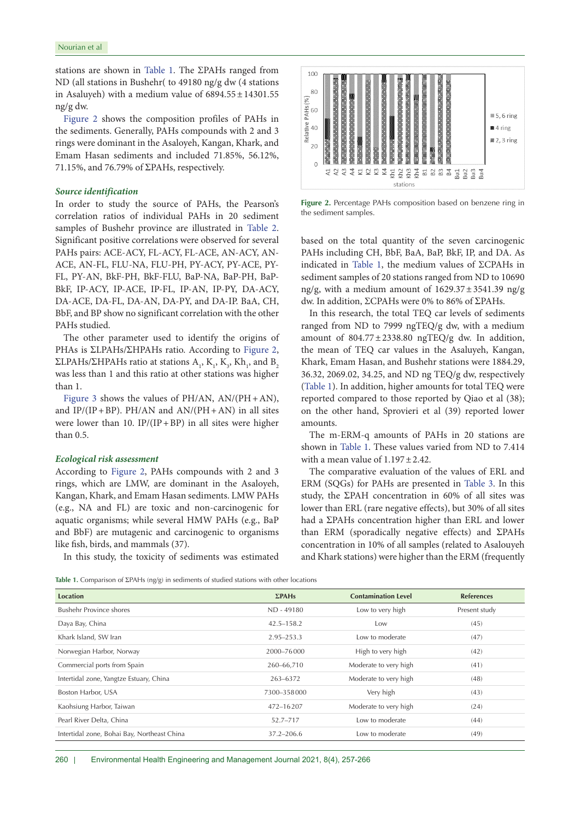stations are shown in Table 1. The ΣPAHs ranged from ND (all stations in Bushehr( to 49180 ng/g dw (4 stations in Asaluyeh) with a medium value of  $6894.55 \pm 14301.55$ ng/g dw.

[Figure 2](#page-3-0) shows the composition profiles of PAHs in the sediments. Generally, PAHs compounds with 2 and 3 rings were dominant in the Asaloyeh, Kangan, Khark, and Emam Hasan sediments and included 71.85%, 56.12%, 71.15%, and 76.79% of  $\Sigma$ PAHs, respectively.

# *Source identification*

In order to study the source of PAHs, the Pearson's correlation ratios of individual PAHs in 20 sediment samples of Bushehr province are illustrated in [Table 2](#page-4-0). Significant positive correlations were observed for several PAHs pairs: ACE-ACY, FL-ACY, FL-ACE, AN-ACY, AN-ACE, AN-FL, FLU-NA, FLU-PH, PY-ACY, PY-ACE, PY-FL, PY-AN, BkF-PH, BkF-FLU, BaP-NA, BaP-PH, BaP-BkF, IP-ACY, IP-ACE, IP-FL, IP-AN, IP-PY, DA-ACY, DA-ACE, DA-FL, DA-AN, DA-PY, and DA-IP. BaA, CH, BbF, and BP show no significant correlation with the other PAHs studied.

The other parameter used to identify the origins of PHAs is ΣLPAHs/ΣHPAHs ratio. According to [Figure 2](#page-3-0),  $\Sigma$ LPAHs/ $\Sigma$ HPAHs ratio at stations  $A_1$ ,  $K_1$ ,  $K_3$ ,  $Kh_1$ , and  $B_2$ was less than 1 and this ratio at other stations was higher than 1.

[Figure 3](#page-5-0) shows the values of PH/AN, AN/(PH+AN), and  $IP/(IP+BP)$ . PH/AN and  $AN/(PH+AN)$  in all sites were lower than 10. IP/(IP+BP) in all sites were higher than 0.5.

## *Ecological risk assessment*

According to [Figure 2,](#page-3-0) PAHs compounds with 2 and 3 rings, which are LMW, are dominant in the Asaloyeh, Kangan, Khark, and Emam Hasan sediments. LMW PAHs (e.g., NA and FL) are toxic and non-carcinogenic for aquatic organisms; while several HMW PAHs (e.g., BaP and BbF) are mutagenic and carcinogenic to organisms like fish, birds, and mammals (37).

<span id="page-3-0"></span>

**Figure 2.** Percentage PAHs composition based on benzene ring in the sediment samples.

based on the total quantity of the seven carcinogenic PAHs including CH, BbF, BaA, BaP, BkF, IP, and DA. As indicated in Table 1, the medium values of ΣCPAHs in sediment samples of 20 stations ranged from ND to 10690 ng/g, with a medium amount of  $1629.37 \pm 3541.39$  ng/g dw. In addition, ΣCPAHs were 0% to 86% of ΣPAHs.

In this research, the total TEQ car levels of sediments ranged from ND to 7999 ngTEQ/g dw, with a medium amount of  $804.77 \pm 2338.80$  ngTEQ/g dw. In addition, the mean of TEQ car values in the Asaluyeh, Kangan, Khark, Emam Hasan, and Bushehr stations were 1884.29, 36.32, 2069.02, 34.25, and ND ng TEQ/g dw, respectively (Table 1). In addition, higher amounts for total TEQ were reported compared to those reported by Qiao et al (38); on the other hand, Sprovieri et al (39) reported lower amounts.

The m-ERM-q amounts of PAHs in 20 stations are shown in Table 1. These values varied from ND to 7.414 with a mean value of  $1.197 \pm 2.42$ .

The comparative evaluation of the values of ERL and ERM (SQGs) for PAHs are presented in Table 3. In this study, the  $\Sigma$ PAH concentration in 60% of all sites was lower than ERL (rare negative effects), but 30% of all sites had a ΣPAHs concentration higher than ERL and lower than ERM (sporadically negative effects) and  $\Sigma$ PAHs concentration in 10% of all samples (related to Asalouyeh and Khark stations) were higher than the ERM (frequently

In this study, the toxicity of sediments was estimated

Table 1. Comparison of ΣPAHs (ng/g) in sediments of studied stations with other locations

| <b>Location</b>                             | $\Sigma$ PAHs  | <b>Contamination Level</b> | <b>References</b> |
|---------------------------------------------|----------------|----------------------------|-------------------|
| <b>Bushehr Province shores</b>              | ND - 49180     | Low to very high           | Present study     |
| Daya Bay, China                             | $42.5 - 158.2$ | Low                        | (45)              |
| Khark Island, SW Iran                       | 2.95-253.3     | Low to moderate            | (47)              |
| Norwegian Harbor, Norway                    | 2000-76000     | High to very high          | (42)              |
| Commercial ports from Spain                 | 260-66,710     | Moderate to very high      | (41)              |
| Intertidal zone, Yangtze Estuary, China     | 263-6372       | Moderate to very high      | (48)              |
| Boston Harbor, USA                          | 7300-358000    | Very high                  | (43)              |
| Kaohsiung Harbor, Taiwan                    | 472-16207      | Moderate to very high      | (24)              |
| Pearl River Delta, China                    | 52.7-717       | Low to moderate            | (44)              |
| Intertidal zone, Bohai Bay, Northeast China | $37.2 - 206.6$ | Low to moderate            | (49)              |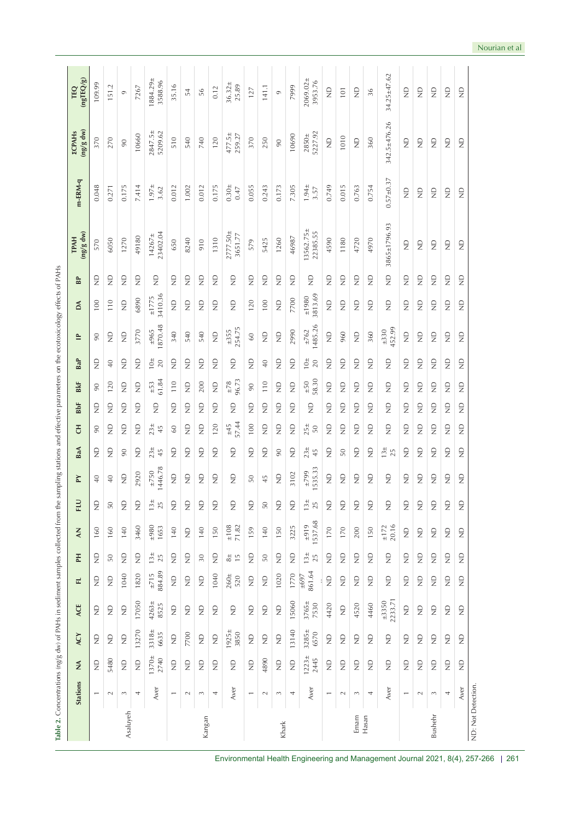| 10 <sup>±</sup><br>10 <sup>±</sup><br>$\Xi$<br>$\mathop{\mathrel{\mathrel{\triangle}}}\limits^{\mathrel{\mathrel{\triangle}}}$<br>$\mathop{\mathrel{\mathrel{\triangle}}}\limits^{\mathrel{\mathrel{\triangle}}}$<br>$\frac{D}{Z}$<br>$\frac{D}{Z}$<br>$\frac{D}{Z}$<br>$\Xi$<br>$\Xi$<br>$\frac{D}{Z}$<br>$\mathbf{r}$<br>$\frac{D}{Z}$<br>$\Xi$<br>$\frac{D}{Z}$<br>$\frac{D}{Z}$<br>$\frac{D}{Z}$<br>$\frac{\Omega}{Z}$<br>$\frac{D}{Z}$<br>$\frac{D}{Z}$<br>$\frac{D}{Z}$<br>$\Xi$<br>20<br>$\sqrt{4}$<br>40<br>61.84<br>$±50$<br>58.30<br>$\frac{+78}{86.73}$<br>$\pm 53$<br>110<br>$\ensuremath{\mathop{\mathsf{E}}}_\ensuremath{\mathsf{Z}}$<br>110<br>120<br>$\ensuremath{\mathop{\mathsf{S}}\nolimits}$<br>$\ensuremath{\mathop{\mathsf{2}}}\limits^{\ensuremath{\mathsf{D}}}$<br>200<br>$\ensuremath{\mathop{\mathsf{S}}\nolimits}$<br>$\frac{D}{Z}$<br>$\frac{\square}{Z}$<br>$\frac{D}{Z}$<br>$\frac{\square}{Z}$<br>$\frac{D}{Z}$<br>$\frac{D}{Z}$<br>$\frac{D}{Z}$<br>$\frac{\Omega}{Z}$<br>$\frac{D}{Z}$<br>$\frac{\square}{Z}$<br>$\frac{D}{Z}$<br>$90\,$<br>90<br>$\frac{\Omega}{Z}$<br>$\Xi$<br>$\frac{D}{Z}$<br>$\frac{D}{Z}$<br>$\mathbf{r}$<br>$\frac{D}{Z}$<br>$\frac{D}{Z}$<br>$\frac{D}{Z}$<br>$\frac{D}{Z}$<br>$\frac{D}{Z}$<br>$\frac{D}{Z}$<br>$\frac{D}{Z}$<br>$\frac{D}{Z}$<br>$\frac{\Omega}{Z}$<br>$\frac{D}{Z}$<br>$\frac{D}{Z}$<br>$\frac{D}{Z}$<br>$\frac{\Omega}{Z}$<br>$\frac{D}{Z}$<br>$\frac{\Omega}{Z}$<br>$\frac{D}{Z}$<br>$\frac{\Omega}{Z}$<br>$\frac{D}{Z}$<br>$\frac{D}{Z}$<br>$\pm 45$<br>57.44<br>120<br>$100$<br>$\frac{\Omega}{Z}$<br>$23_{\pm}$<br>$\ensuremath{\mathop{\mathsf{2}}}\limits^{\ensuremath{\mathsf{D}}}$<br>$25 +$<br>$\mathop{\supseteq}\limits_{\mathop{\sum}}$<br>$\frac{\square}{Z}$<br>$\frac{D}{Z}$<br>$\frac{\square}{Z}$<br>$\frac{\square}{Z}$<br>$\frac{\square}{Z}$<br>$\frac{D}{Z}$<br>$\frac{\square}{Z}$<br>$\frac{\square}{Z}$<br>$\frac{D}{Z}$<br>$\frac{D}{Z}$<br>$\frac{D}{Z}$<br>$\frac{\Omega}{Z}$<br>$\frac{D}{Z}$<br>$\frac{D}{Z}$<br>90<br>$^{60}$<br>$23\pm$<br>$23\pm$<br>$13 +$<br>25<br>$\frac{D}{Z}$<br>$\frac{D}{Z}$<br>$\Xi$<br>$\Xi$<br>$\frac{D}{Z}$<br>$\Xi$<br>$\mathbf{r}$<br>$\frac{D}{Z}$<br>$\frac{D}{Z}$<br>$\frac{D}{Z}$<br>$\frac{\Omega}{Z}$<br>$\frac{D}{Z}$<br>$\frac{D}{Z}$<br>$\frac{D}{Z}$<br>$\frac{D}{Z}$<br>$\frac{\Omega}{\Sigma}$<br>$\frac{1}{2}$<br>$\frac{\Omega}{Z}$<br>90<br>45<br>90<br>45<br>$50\,$<br>1446.78<br>1535.33<br>$\pm 750$<br>2920<br>$\pm 799$<br>3102<br>$\frac{D}{Z}$<br>$\frac{D}{Z}$<br>$\frac{D}{Z}$<br>$\frac{D}{Z}$<br>$\frac{D}{Z}$<br>$\frac{D}{Z}$<br>$\frac{D}{Z}$<br>$\frac{D}{Z}$<br>$\frac{D}{Z}$<br>$\frac{D}{Z}$<br>$\frac{D}{Z}$<br>$\frac{D}{Z}$<br>$\frac{1}{2}$<br>£<br>£<br>$\frac{D}{Z}$<br>$\sqrt{4}$<br>$\sqrt{4}$<br>$50\,$<br>45<br>$13\pm$<br>$13\pm$<br>$\frac{D}{Z}$<br>$\frac{\Omega}{Z}$<br>$\frac{D}{Z}$<br>$\Xi$<br>$\Xi$<br>$\Xi$<br>$\frac{D}{Z}$<br>$\frac{\Omega}{Z}$<br>$\frac{\Omega}{Z}$<br>$\frac{D}{Z}$<br>$\frac{D}{Z}$<br>$\frac{\Omega}{\Sigma}$<br>$\frac{\Omega}{\Sigma}$<br>$\frac{D}{Z}$<br>$\frac{D}{Z}$<br>$\frac{D}{Z}$<br>$\frac{D}{Z}$<br>$\frac{D}{Z}$<br>$\frac{D}{Z}$<br>$\frac{1}{2}$<br>25<br>25<br>$50\,$<br>$50\,$<br>1537.68<br>$+919$<br>20.16<br>$\pm 108$<br>71.82<br>3460<br>$-980$<br>3225<br>$\pm 172$<br>1653<br>140<br>140<br>150<br>159<br>150<br>170<br>$170$<br>150<br>160<br>160<br>140<br>140<br>200<br>$\ensuremath{\mathop{\mathsf{S}}\nolimits}$<br>$\frac{\Omega}{Z}$<br>$\frac{D}{Z}$<br>$\frac{\square}{Z}$<br>$\frac{\Omega}{Z}$<br>$13\pm$<br>$13 \pm$<br>$\frac{\square}{Z}$<br>$\ensuremath{\mathop{\mathsf{2}}}\limits^{\ensuremath{\mathsf{D}}}$<br>$\mathop{\supseteq}\limits_{\mathbb{Z}}$<br>$\ensuremath{\mathop{\mathsf{2}}}\limits^{\ensuremath{\mathsf{D}}}$<br>$\ensuremath{\mathop{\mathsf{S}}\nolimits}$<br>$\ensuremath{\mathop{\mathsf{S}}\nolimits}$<br>$\mathop{\supseteq}\limits_{\mathop{\sum}}$<br>$\frac{D}{Z}$<br>$\frac{\square}{Z}$<br>$\frac{\Omega}{Z}$<br>$\frac{\square}{Z}$<br>$\frac{\Omega}{Z}$<br>$\frac{\square}{Z}$<br>$\frac{D}{Z}$<br>$\frac{\square}{Z}$<br>$\frac{D}{Z}$<br>$\frac{\square}{Z}$<br>$\frac{\Omega}{Z}$<br>25<br>25<br>50<br>30<br>$rac{4}{5}$<br>50<br>884.89<br>861.64<br>$\pm 715$<br>1820<br>1040<br>1770<br>1040<br>$260\pm$<br>1020<br>±697<br>520<br>$\ensuremath{\mathop{\mathsf{S}}\nolimits}$<br>$\ensuremath{\mathop{\mathsf{2}}}\limits^{\ensuremath{\mathsf{D}}}$<br>$\ensuremath{\mathop{\mathsf{S}}\nolimits}$<br>$\ensuremath{\mathop{\mathsf{2}}}\limits^{\ensuremath{\mathsf{D}}}$<br>$\ensuremath{\mathop{\mathsf{S}}\nolimits}$<br>$\frac{\Omega}{Z}$<br>$\frac{D}{Z}$<br>$\frac{\square}{Z}$<br>$\frac{\square}{Z}$<br>$\frac{D}{Z}$<br>$\frac{\square}{Z}$<br>$\frac{\square}{Z}$<br>$\frac{D}{Z}$<br>$\frac{\Omega}{Z}$<br>$\frac{\square}{Z}$<br>$\frac{\Omega}{Z}$<br>2233.71<br>$3765 \pm$<br>±3350<br>$4263 \pm$<br>15060<br>17050<br>7530<br>8525<br>4520<br>4460<br>4420<br>$\ensuremath{\mathop{\mathsf{2}}}\limits^{\ensuremath{\mathsf{D}}}$<br>$\mathrel{\mathop{\boxdot}_{}}$<br>$\ensuremath{\mathop{\mathsf{S}}\nolimits}$<br>$\ensuremath{\mathop{\mathsf{S}}\nolimits}$<br>$\mathop{\supseteq}\limits_{\mathop{\sum}}$<br>$\mathop{\supseteq}\limits_{\mathbb{Z}}$<br>$\ensuremath{\mathop{\mathsf{S}}\nolimits}$<br>$\frac{\Omega}{Z}$<br>$\mathop{\supseteq}\limits_{\mathop{\sum}}$<br>$\ensuremath{\mathop{\mathsf{2}}}\limits^{\ensuremath{\mathsf{D}}}$<br>$\frac{\square}{Z}$<br>$\frac{\Omega}{Z}$<br>$\frac{\square}{Z}$<br>$\frac{\square}{Z}$<br>$\frac{\square}{Z}$<br>$\frac{D}{Z}$<br>$3318\pm$<br>$3285 \pm$<br>13140<br>13270<br>$1925 +$<br>6635<br>3850<br>6570<br>7700<br>$\ensuremath{\mathop{\mathsf{S}}\nolimits}$<br>$\mathrel{\mathop{\boxdot}_{}}$<br>$\frac{\square}{Z}$<br>$\ensuremath{\mathsf{S}}$<br>$\mathop{\supseteq}\limits_{\mathbb{Z}}$<br>$\ensuremath{\mathop{\mathsf{2}}}\limits^{\ensuremath{\mathsf{D}}}$<br>$\ensuremath{\mathop{\mathsf{S}}\nolimits}$<br>$\ensuremath{\mathop{\mathsf{S}}\nolimits}$<br>$\ensuremath{\mathop{\mathsf{S}}\nolimits}$<br>$\frac{\square}{Z}$<br>$\frac{\square}{Z}$<br>$\frac{\square}{Z}$<br>$\frac{D}{Z}$<br>$\frac{D}{Z}$<br>$\frac{D}{Z}$<br>$\frac{D}{Z}$<br>$\frac{\square}{Z}$<br>$\frac{D}{Z}$<br>$1223 \pm$<br>$1370 +$<br>2740<br>2445<br>5480<br>4890<br>$\ensuremath{\mathop{\mathsf{S}}\nolimits}$<br>$\ensuremath{\mathop{\mathsf{E}}}_\ensuremath{\mathsf{Z}}$<br>$\mathrel{\mathop{\boxdot}_{}}$<br>$\ensuremath{\mathop{\mathsf{S}}\nolimits}$<br>$\ensuremath{\mathop{\mathsf{2}}}\limits^{\ensuremath{\mathsf{D}}}$<br>$\mathop{\supseteq}\limits_{\mathop{\sum}}$<br>$\ensuremath{\mathop{\mathsf{S}}\nolimits}$<br>$\mathop{\supseteq}\limits_{\mathbb{Z}}$<br>$\frac{\square}{Z}$<br>$\mathop{\supseteq}\limits_{\mathop{\sum}}$<br>$\ensuremath{\mathop{\mathsf{S}}\nolimits}$<br>$\frac{\square}{Z}$<br>$\frac{\square}{Z}$<br>$\frac{\square}{Z}$<br>$\frac{\square}{Z}$<br>$\frac{D}{Z}$<br>$\frac{\square}{Z}$<br>$\frac{D}{Z}$<br>$\frac{D}{Z}$<br>$\frac{D}{Z}$<br>Aver<br>Aver<br>Aver<br>Aver<br>$\sim$<br>$\sim$<br>4<br>$\sim$<br>$\sim$<br>4<br>$\sim$<br>4<br>4<br>$\sim$<br>4<br>$\overline{ }$<br>$\overline{\phantom{0}}$<br>$\overline{ }$<br>$\sim$<br>$\overline{ }$<br>$\sim$<br>3<br>$\overline{ }$<br>3<br>Asaluyeh<br><b>Bushehr</b><br>Emam<br>Hasan<br>Kangan<br>Khark | ᆔ | 곤 | $\leq$ | ΕU | $\mathbb{M}$ | BaA | FO | <b>BbF</b> | <b>BkF</b> | BaP | ≞                                           | ð                                                                                                                                   | <b>BP</b>           | (ng/g dw)<br><b>TPAH</b>   | m-ERM-q            | (ng/g dw)<br><b>ZCPAHS</b>                | (ngTEQ/g)<br>TEQ                                                    |
|----------------------------------------------------------------------------------------------------------------------------------------------------------------------------------------------------------------------------------------------------------------------------------------------------------------------------------------------------------------------------------------------------------------------------------------------------------------------------------------------------------------------------------------------------------------------------------------------------------------------------------------------------------------------------------------------------------------------------------------------------------------------------------------------------------------------------------------------------------------------------------------------------------------------------------------------------------------------------------------------------------------------------------------------------------------------------------------------------------------------------------------------------------------------------------------------------------------------------------------------------------------------------------------------------------------------------------------------------------------------------------------------------------------------------------------------------------------------------------------------------------------------------------------------------------------------------------------------------------------------------------------------------------------------------------------------------------------------------------------------------------------------------------------------------------------------------------------------------------------------------------------------------------------------------------------------------------------------------------------------------------------------------------------------------------------------------------------------------------------------------------------------------------------------------------------------------------------------------------------------------------------------------------------------------------------------------------------------------------------------------------------------------------------------------------------------------------------------------------------------------------------------------------------------------------------------------------------------------------------------------------------------------------------------------------------------------------------------------------------------------------------------------------------------------------------------------------------------------------------------------------------------------------------------------------------------------------------------------------------------------------------------------------------------------------------------------------------------------------------------------------------------------------------------------------------------------------------------------------------------------------------------------------------------------------------------------------------------------------------------------------------------------------------------------------------------------------------------------------------------------------------------------------------------------------------------------------------------------------------------------------------------------------------------------------------------------------------------------------------------------------------------------------------------------------------------------------------------------------------------------------------------------------------------------------------------------------------------------------------------------------------------------------------------------------------------------------------------------------------------------------------------------------------------------------------------------------------------------------------------------------------------------------------------------------------------------------------------------------------------------------------------------------------------------------------------------------------------------------------------------------------------------------------------------------------------------------------------------------------------------------------------------------------------------------------------------------------------------------------------------------------------------------------------------------------------------------------------------------------------------------------------------------------------------------------------------------------------------------------------------------------------------------------------------------------------------------------------------------------------------------------------------------------------------------------------------------------------------------------------------------------------------------------------------------------------------------------------------------------------------------------------------------------------------------------------------------------------------------------------------------------------------------------------------------------------------------------------------------------------------------------------------------------------------------------------------------------------------------------------------------------------------------------------------------------------------------------------------------------------------------------------------------------------------------------------------------------------------------------------------------------------------------------------------------------------------------------------------------------------------------------------------------------------------------------------------------------------------------------------------------------------------------------------------------------------------------------------------------------------------------------------------------------------------------------------------------------------------------------------------------------------------------------------------------------------------------------------------------------------------------------------------------------------------------------------------------------------------------------------------------------------------------------------------------------------------------------------------------------------------------------------------------------------------------------------------------------------------------------------------------------------------------------------------------------------------------------------------------------------------------------------------------------------------------------------------------------------------------------------------------------------------------------------------------------------------------------------------------------------------------------------------------------------|---|---|--------|----|--------------|-----|----|------------|------------|-----|---------------------------------------------|-------------------------------------------------------------------------------------------------------------------------------------|---------------------|----------------------------|--------------------|-------------------------------------------|---------------------------------------------------------------------|
|                                                                                                                                                                                                                                                                                                                                                                                                                                                                                                                                                                                                                                                                                                                                                                                                                                                                                                                                                                                                                                                                                                                                                                                                                                                                                                                                                                                                                                                                                                                                                                                                                                                                                                                                                                                                                                                                                                                                                                                                                                                                                                                                                                                                                                                                                                                                                                                                                                                                                                                                                                                                                                                                                                                                                                                                                                                                                                                                                                                                                                                                                                                                                                                                                                                                                                                                                                                                                                                                                                                                                                                                                                                                                                                                                                                                                                                                                                                                                                                                                                                                                                                                                                                                                                                                                                                                                                                                                                                                                                                                                                                                                                                                                                                                                                                                                                                                                                                                                                                                                                                                                                                                                                                                                                                                                                                                                                                                                                                                                                                                                                                                                                                                                                                                                                                                                                                                                                                                                                                                                                                                                                                                                                                                                                                                                                                                                                                                                                                                                                                                                                                                                                                                                                                                                                                                                                                                                                                                                                                                                                                                                                                                                                                                                                                                                                                                                                                                                      |   |   |        |    |              |     |    |            |            |     | 90                                          | 100                                                                                                                                 | $\frac{\Omega}{Z}$  | 570                        | 0.048              | 370                                       | 109.99                                                              |
|                                                                                                                                                                                                                                                                                                                                                                                                                                                                                                                                                                                                                                                                                                                                                                                                                                                                                                                                                                                                                                                                                                                                                                                                                                                                                                                                                                                                                                                                                                                                                                                                                                                                                                                                                                                                                                                                                                                                                                                                                                                                                                                                                                                                                                                                                                                                                                                                                                                                                                                                                                                                                                                                                                                                                                                                                                                                                                                                                                                                                                                                                                                                                                                                                                                                                                                                                                                                                                                                                                                                                                                                                                                                                                                                                                                                                                                                                                                                                                                                                                                                                                                                                                                                                                                                                                                                                                                                                                                                                                                                                                                                                                                                                                                                                                                                                                                                                                                                                                                                                                                                                                                                                                                                                                                                                                                                                                                                                                                                                                                                                                                                                                                                                                                                                                                                                                                                                                                                                                                                                                                                                                                                                                                                                                                                                                                                                                                                                                                                                                                                                                                                                                                                                                                                                                                                                                                                                                                                                                                                                                                                                                                                                                                                                                                                                                                                                                                                                      |   |   |        |    |              |     |    |            |            |     | $\Xi$                                       | 110                                                                                                                                 | $\frac{\square}{Z}$ | 6050                       | 0.271              | 270                                       | 51.2                                                                |
|                                                                                                                                                                                                                                                                                                                                                                                                                                                                                                                                                                                                                                                                                                                                                                                                                                                                                                                                                                                                                                                                                                                                                                                                                                                                                                                                                                                                                                                                                                                                                                                                                                                                                                                                                                                                                                                                                                                                                                                                                                                                                                                                                                                                                                                                                                                                                                                                                                                                                                                                                                                                                                                                                                                                                                                                                                                                                                                                                                                                                                                                                                                                                                                                                                                                                                                                                                                                                                                                                                                                                                                                                                                                                                                                                                                                                                                                                                                                                                                                                                                                                                                                                                                                                                                                                                                                                                                                                                                                                                                                                                                                                                                                                                                                                                                                                                                                                                                                                                                                                                                                                                                                                                                                                                                                                                                                                                                                                                                                                                                                                                                                                                                                                                                                                                                                                                                                                                                                                                                                                                                                                                                                                                                                                                                                                                                                                                                                                                                                                                                                                                                                                                                                                                                                                                                                                                                                                                                                                                                                                                                                                                                                                                                                                                                                                                                                                                                                                      |   |   |        |    |              |     |    |            |            |     | $\Xi$                                       | $\frac{\Omega}{Z}$                                                                                                                  | $\frac{D}{Z}$       | 1270                       | 0.175              | 90                                        | $\circ$                                                             |
|                                                                                                                                                                                                                                                                                                                                                                                                                                                                                                                                                                                                                                                                                                                                                                                                                                                                                                                                                                                                                                                                                                                                                                                                                                                                                                                                                                                                                                                                                                                                                                                                                                                                                                                                                                                                                                                                                                                                                                                                                                                                                                                                                                                                                                                                                                                                                                                                                                                                                                                                                                                                                                                                                                                                                                                                                                                                                                                                                                                                                                                                                                                                                                                                                                                                                                                                                                                                                                                                                                                                                                                                                                                                                                                                                                                                                                                                                                                                                                                                                                                                                                                                                                                                                                                                                                                                                                                                                                                                                                                                                                                                                                                                                                                                                                                                                                                                                                                                                                                                                                                                                                                                                                                                                                                                                                                                                                                                                                                                                                                                                                                                                                                                                                                                                                                                                                                                                                                                                                                                                                                                                                                                                                                                                                                                                                                                                                                                                                                                                                                                                                                                                                                                                                                                                                                                                                                                                                                                                                                                                                                                                                                                                                                                                                                                                                                                                                                                                      |   |   |        |    |              |     |    |            |            |     | 3770                                        | 6890                                                                                                                                | $\frac{D}{Z}$       | 49180                      | 7.414              | 10660                                     | 7267                                                                |
|                                                                                                                                                                                                                                                                                                                                                                                                                                                                                                                                                                                                                                                                                                                                                                                                                                                                                                                                                                                                                                                                                                                                                                                                                                                                                                                                                                                                                                                                                                                                                                                                                                                                                                                                                                                                                                                                                                                                                                                                                                                                                                                                                                                                                                                                                                                                                                                                                                                                                                                                                                                                                                                                                                                                                                                                                                                                                                                                                                                                                                                                                                                                                                                                                                                                                                                                                                                                                                                                                                                                                                                                                                                                                                                                                                                                                                                                                                                                                                                                                                                                                                                                                                                                                                                                                                                                                                                                                                                                                                                                                                                                                                                                                                                                                                                                                                                                                                                                                                                                                                                                                                                                                                                                                                                                                                                                                                                                                                                                                                                                                                                                                                                                                                                                                                                                                                                                                                                                                                                                                                                                                                                                                                                                                                                                                                                                                                                                                                                                                                                                                                                                                                                                                                                                                                                                                                                                                                                                                                                                                                                                                                                                                                                                                                                                                                                                                                                                                      |   |   |        |    |              |     |    |            |            |     | 1870.48<br>±965                             | 3410.36<br>±1775                                                                                                                    | $\frac{D}{Z}$       | 23402.04<br>$14267 +$      | $1.97 \pm$<br>3.62 | $2847.5+$<br>5209.62                      | 1884.29±<br>3588.96                                                 |
|                                                                                                                                                                                                                                                                                                                                                                                                                                                                                                                                                                                                                                                                                                                                                                                                                                                                                                                                                                                                                                                                                                                                                                                                                                                                                                                                                                                                                                                                                                                                                                                                                                                                                                                                                                                                                                                                                                                                                                                                                                                                                                                                                                                                                                                                                                                                                                                                                                                                                                                                                                                                                                                                                                                                                                                                                                                                                                                                                                                                                                                                                                                                                                                                                                                                                                                                                                                                                                                                                                                                                                                                                                                                                                                                                                                                                                                                                                                                                                                                                                                                                                                                                                                                                                                                                                                                                                                                                                                                                                                                                                                                                                                                                                                                                                                                                                                                                                                                                                                                                                                                                                                                                                                                                                                                                                                                                                                                                                                                                                                                                                                                                                                                                                                                                                                                                                                                                                                                                                                                                                                                                                                                                                                                                                                                                                                                                                                                                                                                                                                                                                                                                                                                                                                                                                                                                                                                                                                                                                                                                                                                                                                                                                                                                                                                                                                                                                                                                      |   |   |        |    |              |     |    |            |            |     | 340                                         | $\ensuremath{\mathop{\mathsf{S}}\nolimits}$                                                                                         | $\frac{\Omega}{Z}$  | 650                        | 0.012              | 510                                       | 35.16                                                               |
|                                                                                                                                                                                                                                                                                                                                                                                                                                                                                                                                                                                                                                                                                                                                                                                                                                                                                                                                                                                                                                                                                                                                                                                                                                                                                                                                                                                                                                                                                                                                                                                                                                                                                                                                                                                                                                                                                                                                                                                                                                                                                                                                                                                                                                                                                                                                                                                                                                                                                                                                                                                                                                                                                                                                                                                                                                                                                                                                                                                                                                                                                                                                                                                                                                                                                                                                                                                                                                                                                                                                                                                                                                                                                                                                                                                                                                                                                                                                                                                                                                                                                                                                                                                                                                                                                                                                                                                                                                                                                                                                                                                                                                                                                                                                                                                                                                                                                                                                                                                                                                                                                                                                                                                                                                                                                                                                                                                                                                                                                                                                                                                                                                                                                                                                                                                                                                                                                                                                                                                                                                                                                                                                                                                                                                                                                                                                                                                                                                                                                                                                                                                                                                                                                                                                                                                                                                                                                                                                                                                                                                                                                                                                                                                                                                                                                                                                                                                                                      |   |   |        |    |              |     |    |            |            |     | 540                                         | $\ensuremath{\mathop{\mathsf{2}}}\limits^{\ensuremath{\mathsf{D}}}$                                                                 | $\frac{D}{Z}$       | 8240                       | 1.002              | 540                                       | 54                                                                  |
|                                                                                                                                                                                                                                                                                                                                                                                                                                                                                                                                                                                                                                                                                                                                                                                                                                                                                                                                                                                                                                                                                                                                                                                                                                                                                                                                                                                                                                                                                                                                                                                                                                                                                                                                                                                                                                                                                                                                                                                                                                                                                                                                                                                                                                                                                                                                                                                                                                                                                                                                                                                                                                                                                                                                                                                                                                                                                                                                                                                                                                                                                                                                                                                                                                                                                                                                                                                                                                                                                                                                                                                                                                                                                                                                                                                                                                                                                                                                                                                                                                                                                                                                                                                                                                                                                                                                                                                                                                                                                                                                                                                                                                                                                                                                                                                                                                                                                                                                                                                                                                                                                                                                                                                                                                                                                                                                                                                                                                                                                                                                                                                                                                                                                                                                                                                                                                                                                                                                                                                                                                                                                                                                                                                                                                                                                                                                                                                                                                                                                                                                                                                                                                                                                                                                                                                                                                                                                                                                                                                                                                                                                                                                                                                                                                                                                                                                                                                                                      |   |   |        |    |              |     |    |            |            |     | 540                                         | $\frac{\square}{Z}$                                                                                                                 | $\frac{D}{Z}$       | 910                        | 0.012              | 740                                       | 56                                                                  |
|                                                                                                                                                                                                                                                                                                                                                                                                                                                                                                                                                                                                                                                                                                                                                                                                                                                                                                                                                                                                                                                                                                                                                                                                                                                                                                                                                                                                                                                                                                                                                                                                                                                                                                                                                                                                                                                                                                                                                                                                                                                                                                                                                                                                                                                                                                                                                                                                                                                                                                                                                                                                                                                                                                                                                                                                                                                                                                                                                                                                                                                                                                                                                                                                                                                                                                                                                                                                                                                                                                                                                                                                                                                                                                                                                                                                                                                                                                                                                                                                                                                                                                                                                                                                                                                                                                                                                                                                                                                                                                                                                                                                                                                                                                                                                                                                                                                                                                                                                                                                                                                                                                                                                                                                                                                                                                                                                                                                                                                                                                                                                                                                                                                                                                                                                                                                                                                                                                                                                                                                                                                                                                                                                                                                                                                                                                                                                                                                                                                                                                                                                                                                                                                                                                                                                                                                                                                                                                                                                                                                                                                                                                                                                                                                                                                                                                                                                                                                                      |   |   |        |    |              |     |    |            |            |     | $\Xi$                                       | $\mathop{\supseteq}\limits_{\mathop{\sum}}$                                                                                         | $\frac{D}{Z}$       | 1310                       | 0.175              | 120                                       | 0.12                                                                |
|                                                                                                                                                                                                                                                                                                                                                                                                                                                                                                                                                                                                                                                                                                                                                                                                                                                                                                                                                                                                                                                                                                                                                                                                                                                                                                                                                                                                                                                                                                                                                                                                                                                                                                                                                                                                                                                                                                                                                                                                                                                                                                                                                                                                                                                                                                                                                                                                                                                                                                                                                                                                                                                                                                                                                                                                                                                                                                                                                                                                                                                                                                                                                                                                                                                                                                                                                                                                                                                                                                                                                                                                                                                                                                                                                                                                                                                                                                                                                                                                                                                                                                                                                                                                                                                                                                                                                                                                                                                                                                                                                                                                                                                                                                                                                                                                                                                                                                                                                                                                                                                                                                                                                                                                                                                                                                                                                                                                                                                                                                                                                                                                                                                                                                                                                                                                                                                                                                                                                                                                                                                                                                                                                                                                                                                                                                                                                                                                                                                                                                                                                                                                                                                                                                                                                                                                                                                                                                                                                                                                                                                                                                                                                                                                                                                                                                                                                                                                                      |   |   |        |    |              |     |    |            |            |     | 254.75<br>±355                              | $\frac{\square}{Z}$                                                                                                                 | $\frac{D}{Z}$       | 2777.50±<br>3651.77        | $0.30 +$<br>0.47   | 259.27<br>$477.5+$                        | $36.32 \pm$<br>25.89                                                |
|                                                                                                                                                                                                                                                                                                                                                                                                                                                                                                                                                                                                                                                                                                                                                                                                                                                                                                                                                                                                                                                                                                                                                                                                                                                                                                                                                                                                                                                                                                                                                                                                                                                                                                                                                                                                                                                                                                                                                                                                                                                                                                                                                                                                                                                                                                                                                                                                                                                                                                                                                                                                                                                                                                                                                                                                                                                                                                                                                                                                                                                                                                                                                                                                                                                                                                                                                                                                                                                                                                                                                                                                                                                                                                                                                                                                                                                                                                                                                                                                                                                                                                                                                                                                                                                                                                                                                                                                                                                                                                                                                                                                                                                                                                                                                                                                                                                                                                                                                                                                                                                                                                                                                                                                                                                                                                                                                                                                                                                                                                                                                                                                                                                                                                                                                                                                                                                                                                                                                                                                                                                                                                                                                                                                                                                                                                                                                                                                                                                                                                                                                                                                                                                                                                                                                                                                                                                                                                                                                                                                                                                                                                                                                                                                                                                                                                                                                                                                                      |   |   |        |    |              |     |    |            |            |     | $\mbox{S}$                                  | 120                                                                                                                                 | $\frac{D}{Z}$       | 579                        | 0.055              | 370                                       | 127                                                                 |
|                                                                                                                                                                                                                                                                                                                                                                                                                                                                                                                                                                                                                                                                                                                                                                                                                                                                                                                                                                                                                                                                                                                                                                                                                                                                                                                                                                                                                                                                                                                                                                                                                                                                                                                                                                                                                                                                                                                                                                                                                                                                                                                                                                                                                                                                                                                                                                                                                                                                                                                                                                                                                                                                                                                                                                                                                                                                                                                                                                                                                                                                                                                                                                                                                                                                                                                                                                                                                                                                                                                                                                                                                                                                                                                                                                                                                                                                                                                                                                                                                                                                                                                                                                                                                                                                                                                                                                                                                                                                                                                                                                                                                                                                                                                                                                                                                                                                                                                                                                                                                                                                                                                                                                                                                                                                                                                                                                                                                                                                                                                                                                                                                                                                                                                                                                                                                                                                                                                                                                                                                                                                                                                                                                                                                                                                                                                                                                                                                                                                                                                                                                                                                                                                                                                                                                                                                                                                                                                                                                                                                                                                                                                                                                                                                                                                                                                                                                                                                      |   |   |        |    |              |     |    |            |            |     | $\Xi$                                       | 100                                                                                                                                 | $\frac{\square}{Z}$ | 5425                       | 0.243              | 250                                       | 141.1                                                               |
|                                                                                                                                                                                                                                                                                                                                                                                                                                                                                                                                                                                                                                                                                                                                                                                                                                                                                                                                                                                                                                                                                                                                                                                                                                                                                                                                                                                                                                                                                                                                                                                                                                                                                                                                                                                                                                                                                                                                                                                                                                                                                                                                                                                                                                                                                                                                                                                                                                                                                                                                                                                                                                                                                                                                                                                                                                                                                                                                                                                                                                                                                                                                                                                                                                                                                                                                                                                                                                                                                                                                                                                                                                                                                                                                                                                                                                                                                                                                                                                                                                                                                                                                                                                                                                                                                                                                                                                                                                                                                                                                                                                                                                                                                                                                                                                                                                                                                                                                                                                                                                                                                                                                                                                                                                                                                                                                                                                                                                                                                                                                                                                                                                                                                                                                                                                                                                                                                                                                                                                                                                                                                                                                                                                                                                                                                                                                                                                                                                                                                                                                                                                                                                                                                                                                                                                                                                                                                                                                                                                                                                                                                                                                                                                                                                                                                                                                                                                                                      |   |   |        |    |              |     |    |            |            |     | $\ensuremath{\mathop{\mathsf{S}}\nolimits}$ | $\mathrel{\mathop{\boxdot}_{}}$                                                                                                     | $\frac{D}{Z}$       | 1260                       | 0.173              | $90\,$                                    | $\circ$                                                             |
|                                                                                                                                                                                                                                                                                                                                                                                                                                                                                                                                                                                                                                                                                                                                                                                                                                                                                                                                                                                                                                                                                                                                                                                                                                                                                                                                                                                                                                                                                                                                                                                                                                                                                                                                                                                                                                                                                                                                                                                                                                                                                                                                                                                                                                                                                                                                                                                                                                                                                                                                                                                                                                                                                                                                                                                                                                                                                                                                                                                                                                                                                                                                                                                                                                                                                                                                                                                                                                                                                                                                                                                                                                                                                                                                                                                                                                                                                                                                                                                                                                                                                                                                                                                                                                                                                                                                                                                                                                                                                                                                                                                                                                                                                                                                                                                                                                                                                                                                                                                                                                                                                                                                                                                                                                                                                                                                                                                                                                                                                                                                                                                                                                                                                                                                                                                                                                                                                                                                                                                                                                                                                                                                                                                                                                                                                                                                                                                                                                                                                                                                                                                                                                                                                                                                                                                                                                                                                                                                                                                                                                                                                                                                                                                                                                                                                                                                                                                                                      |   |   |        |    |              |     |    |            |            |     | 2990                                        | 7700                                                                                                                                | $\frac{D}{Z}$       | 46987                      | 7.305              | 10690                                     | 7999                                                                |
|                                                                                                                                                                                                                                                                                                                                                                                                                                                                                                                                                                                                                                                                                                                                                                                                                                                                                                                                                                                                                                                                                                                                                                                                                                                                                                                                                                                                                                                                                                                                                                                                                                                                                                                                                                                                                                                                                                                                                                                                                                                                                                                                                                                                                                                                                                                                                                                                                                                                                                                                                                                                                                                                                                                                                                                                                                                                                                                                                                                                                                                                                                                                                                                                                                                                                                                                                                                                                                                                                                                                                                                                                                                                                                                                                                                                                                                                                                                                                                                                                                                                                                                                                                                                                                                                                                                                                                                                                                                                                                                                                                                                                                                                                                                                                                                                                                                                                                                                                                                                                                                                                                                                                                                                                                                                                                                                                                                                                                                                                                                                                                                                                                                                                                                                                                                                                                                                                                                                                                                                                                                                                                                                                                                                                                                                                                                                                                                                                                                                                                                                                                                                                                                                                                                                                                                                                                                                                                                                                                                                                                                                                                                                                                                                                                                                                                                                                                                                                      |   |   |        |    |              |     |    |            |            |     | 1485.26<br>$\pm 762$                        | 3813.69<br>$-1980$                                                                                                                  | $\frac{D}{Z}$       | $13562.75 \pm$<br>22385.55 | $1.94 \pm$<br>3.57 | 5227.92<br>$2850\pm$                      | $2069.02\pm$<br>3953.76                                             |
|                                                                                                                                                                                                                                                                                                                                                                                                                                                                                                                                                                                                                                                                                                                                                                                                                                                                                                                                                                                                                                                                                                                                                                                                                                                                                                                                                                                                                                                                                                                                                                                                                                                                                                                                                                                                                                                                                                                                                                                                                                                                                                                                                                                                                                                                                                                                                                                                                                                                                                                                                                                                                                                                                                                                                                                                                                                                                                                                                                                                                                                                                                                                                                                                                                                                                                                                                                                                                                                                                                                                                                                                                                                                                                                                                                                                                                                                                                                                                                                                                                                                                                                                                                                                                                                                                                                                                                                                                                                                                                                                                                                                                                                                                                                                                                                                                                                                                                                                                                                                                                                                                                                                                                                                                                                                                                                                                                                                                                                                                                                                                                                                                                                                                                                                                                                                                                                                                                                                                                                                                                                                                                                                                                                                                                                                                                                                                                                                                                                                                                                                                                                                                                                                                                                                                                                                                                                                                                                                                                                                                                                                                                                                                                                                                                                                                                                                                                                                                      |   |   |        |    |              |     |    |            |            |     | $\ensuremath{\mathop{\mathsf{S}}\nolimits}$ | $\mathop{\mathrel{\mathrel{\triangle}}}\limits^{\mathrel{\mathrel{\triangle}}\phantom{}}_{\mathrel{\mathrel{\mathrel{\triangle}}}}$ | $\frac{\Omega}{Z}$  | 4590                       | 0.749              | $\ensuremath{\mathop{\mathsf{E}}}\xspace$ | $\ensuremath{\mathop{\mathsf{2}}}\limits^{\ensuremath{\mathsf{D}}}$ |
|                                                                                                                                                                                                                                                                                                                                                                                                                                                                                                                                                                                                                                                                                                                                                                                                                                                                                                                                                                                                                                                                                                                                                                                                                                                                                                                                                                                                                                                                                                                                                                                                                                                                                                                                                                                                                                                                                                                                                                                                                                                                                                                                                                                                                                                                                                                                                                                                                                                                                                                                                                                                                                                                                                                                                                                                                                                                                                                                                                                                                                                                                                                                                                                                                                                                                                                                                                                                                                                                                                                                                                                                                                                                                                                                                                                                                                                                                                                                                                                                                                                                                                                                                                                                                                                                                                                                                                                                                                                                                                                                                                                                                                                                                                                                                                                                                                                                                                                                                                                                                                                                                                                                                                                                                                                                                                                                                                                                                                                                                                                                                                                                                                                                                                                                                                                                                                                                                                                                                                                                                                                                                                                                                                                                                                                                                                                                                                                                                                                                                                                                                                                                                                                                                                                                                                                                                                                                                                                                                                                                                                                                                                                                                                                                                                                                                                                                                                                                                      |   |   |        |    |              |     |    |            |            |     | 960                                         | $\frac{\square}{Z}$                                                                                                                 | $\frac{D}{Z}$       | 1180                       | 0.015              | 1010                                      | 101                                                                 |
|                                                                                                                                                                                                                                                                                                                                                                                                                                                                                                                                                                                                                                                                                                                                                                                                                                                                                                                                                                                                                                                                                                                                                                                                                                                                                                                                                                                                                                                                                                                                                                                                                                                                                                                                                                                                                                                                                                                                                                                                                                                                                                                                                                                                                                                                                                                                                                                                                                                                                                                                                                                                                                                                                                                                                                                                                                                                                                                                                                                                                                                                                                                                                                                                                                                                                                                                                                                                                                                                                                                                                                                                                                                                                                                                                                                                                                                                                                                                                                                                                                                                                                                                                                                                                                                                                                                                                                                                                                                                                                                                                                                                                                                                                                                                                                                                                                                                                                                                                                                                                                                                                                                                                                                                                                                                                                                                                                                                                                                                                                                                                                                                                                                                                                                                                                                                                                                                                                                                                                                                                                                                                                                                                                                                                                                                                                                                                                                                                                                                                                                                                                                                                                                                                                                                                                                                                                                                                                                                                                                                                                                                                                                                                                                                                                                                                                                                                                                                                      |   |   |        |    |              |     |    |            |            |     | $\Xi$                                       | $\frac{D}{Z}$                                                                                                                       | $\frac{D}{Z}$       | 4720                       | 0.763              | $\frac{D}{Z}$                             | $\mathop{\supseteq}\limits_{\mathop{\sum}}$                         |
|                                                                                                                                                                                                                                                                                                                                                                                                                                                                                                                                                                                                                                                                                                                                                                                                                                                                                                                                                                                                                                                                                                                                                                                                                                                                                                                                                                                                                                                                                                                                                                                                                                                                                                                                                                                                                                                                                                                                                                                                                                                                                                                                                                                                                                                                                                                                                                                                                                                                                                                                                                                                                                                                                                                                                                                                                                                                                                                                                                                                                                                                                                                                                                                                                                                                                                                                                                                                                                                                                                                                                                                                                                                                                                                                                                                                                                                                                                                                                                                                                                                                                                                                                                                                                                                                                                                                                                                                                                                                                                                                                                                                                                                                                                                                                                                                                                                                                                                                                                                                                                                                                                                                                                                                                                                                                                                                                                                                                                                                                                                                                                                                                                                                                                                                                                                                                                                                                                                                                                                                                                                                                                                                                                                                                                                                                                                                                                                                                                                                                                                                                                                                                                                                                                                                                                                                                                                                                                                                                                                                                                                                                                                                                                                                                                                                                                                                                                                                                      |   |   |        |    |              |     |    |            |            |     | 360                                         | $\frac{D}{Z}$                                                                                                                       | $\frac{D}{Z}$       | 4970                       | 0.754              | 360                                       | 36                                                                  |
|                                                                                                                                                                                                                                                                                                                                                                                                                                                                                                                                                                                                                                                                                                                                                                                                                                                                                                                                                                                                                                                                                                                                                                                                                                                                                                                                                                                                                                                                                                                                                                                                                                                                                                                                                                                                                                                                                                                                                                                                                                                                                                                                                                                                                                                                                                                                                                                                                                                                                                                                                                                                                                                                                                                                                                                                                                                                                                                                                                                                                                                                                                                                                                                                                                                                                                                                                                                                                                                                                                                                                                                                                                                                                                                                                                                                                                                                                                                                                                                                                                                                                                                                                                                                                                                                                                                                                                                                                                                                                                                                                                                                                                                                                                                                                                                                                                                                                                                                                                                                                                                                                                                                                                                                                                                                                                                                                                                                                                                                                                                                                                                                                                                                                                                                                                                                                                                                                                                                                                                                                                                                                                                                                                                                                                                                                                                                                                                                                                                                                                                                                                                                                                                                                                                                                                                                                                                                                                                                                                                                                                                                                                                                                                                                                                                                                                                                                                                                                      |   |   |        |    |              |     |    |            |            |     | 452.99<br>±330                              | $\frac{D}{Z}$                                                                                                                       | $\frac{D}{Z}$       | 3865±1796.93               | $0.57 + 0.37$      | 342.5±476.26                              | 34.25±47.62                                                         |
|                                                                                                                                                                                                                                                                                                                                                                                                                                                                                                                                                                                                                                                                                                                                                                                                                                                                                                                                                                                                                                                                                                                                                                                                                                                                                                                                                                                                                                                                                                                                                                                                                                                                                                                                                                                                                                                                                                                                                                                                                                                                                                                                                                                                                                                                                                                                                                                                                                                                                                                                                                                                                                                                                                                                                                                                                                                                                                                                                                                                                                                                                                                                                                                                                                                                                                                                                                                                                                                                                                                                                                                                                                                                                                                                                                                                                                                                                                                                                                                                                                                                                                                                                                                                                                                                                                                                                                                                                                                                                                                                                                                                                                                                                                                                                                                                                                                                                                                                                                                                                                                                                                                                                                                                                                                                                                                                                                                                                                                                                                                                                                                                                                                                                                                                                                                                                                                                                                                                                                                                                                                                                                                                                                                                                                                                                                                                                                                                                                                                                                                                                                                                                                                                                                                                                                                                                                                                                                                                                                                                                                                                                                                                                                                                                                                                                                                                                                                                                      |   |   |        |    |              |     |    |            |            |     | $\mathbf{r}$                                | $\frac{\Omega}{Z}$                                                                                                                  | $\frac{\Omega}{Z}$  | $\frac{\Omega}{Z}$         | $\frac{\Omega}{Z}$ | $\frac{\Omega}{Z}$                        | $\frac{\Omega}{Z}$                                                  |
|                                                                                                                                                                                                                                                                                                                                                                                                                                                                                                                                                                                                                                                                                                                                                                                                                                                                                                                                                                                                                                                                                                                                                                                                                                                                                                                                                                                                                                                                                                                                                                                                                                                                                                                                                                                                                                                                                                                                                                                                                                                                                                                                                                                                                                                                                                                                                                                                                                                                                                                                                                                                                                                                                                                                                                                                                                                                                                                                                                                                                                                                                                                                                                                                                                                                                                                                                                                                                                                                                                                                                                                                                                                                                                                                                                                                                                                                                                                                                                                                                                                                                                                                                                                                                                                                                                                                                                                                                                                                                                                                                                                                                                                                                                                                                                                                                                                                                                                                                                                                                                                                                                                                                                                                                                                                                                                                                                                                                                                                                                                                                                                                                                                                                                                                                                                                                                                                                                                                                                                                                                                                                                                                                                                                                                                                                                                                                                                                                                                                                                                                                                                                                                                                                                                                                                                                                                                                                                                                                                                                                                                                                                                                                                                                                                                                                                                                                                                                                      |   |   |        |    |              |     |    |            |            |     | $\frac{D}{Z}$                               | $\frac{D}{Z}$                                                                                                                       | $\frac{D}{Z}$       | $\frac{D}{Z}$              | $\frac{D}{Z}$      | $\frac{D}{Z}$                             | $\mathop{\supseteq}\limits_{\mathop{\sum}}$                         |
|                                                                                                                                                                                                                                                                                                                                                                                                                                                                                                                                                                                                                                                                                                                                                                                                                                                                                                                                                                                                                                                                                                                                                                                                                                                                                                                                                                                                                                                                                                                                                                                                                                                                                                                                                                                                                                                                                                                                                                                                                                                                                                                                                                                                                                                                                                                                                                                                                                                                                                                                                                                                                                                                                                                                                                                                                                                                                                                                                                                                                                                                                                                                                                                                                                                                                                                                                                                                                                                                                                                                                                                                                                                                                                                                                                                                                                                                                                                                                                                                                                                                                                                                                                                                                                                                                                                                                                                                                                                                                                                                                                                                                                                                                                                                                                                                                                                                                                                                                                                                                                                                                                                                                                                                                                                                                                                                                                                                                                                                                                                                                                                                                                                                                                                                                                                                                                                                                                                                                                                                                                                                                                                                                                                                                                                                                                                                                                                                                                                                                                                                                                                                                                                                                                                                                                                                                                                                                                                                                                                                                                                                                                                                                                                                                                                                                                                                                                                                                      |   |   |        |    |              |     |    |            |            |     | $\frac{D}{Z}$                               | $\frac{\Omega}{Z}$                                                                                                                  | $\frac{D}{Z}$       | $\frac{D}{Z}$              | $\frac{\Omega}{Z}$ | $\Xi$                                     | $\frac{\Omega}{Z}$                                                  |
|                                                                                                                                                                                                                                                                                                                                                                                                                                                                                                                                                                                                                                                                                                                                                                                                                                                                                                                                                                                                                                                                                                                                                                                                                                                                                                                                                                                                                                                                                                                                                                                                                                                                                                                                                                                                                                                                                                                                                                                                                                                                                                                                                                                                                                                                                                                                                                                                                                                                                                                                                                                                                                                                                                                                                                                                                                                                                                                                                                                                                                                                                                                                                                                                                                                                                                                                                                                                                                                                                                                                                                                                                                                                                                                                                                                                                                                                                                                                                                                                                                                                                                                                                                                                                                                                                                                                                                                                                                                                                                                                                                                                                                                                                                                                                                                                                                                                                                                                                                                                                                                                                                                                                                                                                                                                                                                                                                                                                                                                                                                                                                                                                                                                                                                                                                                                                                                                                                                                                                                                                                                                                                                                                                                                                                                                                                                                                                                                                                                                                                                                                                                                                                                                                                                                                                                                                                                                                                                                                                                                                                                                                                                                                                                                                                                                                                                                                                                                                      |   |   |        |    |              |     |    |            |            |     | $\frac{D}{Z}$                               | $\frac{D}{Z}$                                                                                                                       | $\frac{D}{Z}$       | $\frac{D}{Z}$              | $\frac{D}{Z}$      | $\frac{D}{Z}$                             | $\frac{D}{Z}$                                                       |
| $\frac{D}{Z}$<br>$\ensuremath{\mathop{\mathsf{2}}}\limits^{\ensuremath{\mathsf{D}}}$<br>$\frac{D}{Z}$<br>$\frac{D}{Z}$<br>$\frac{D}{Z}$<br>$\frac{D}{Z}$<br>$\frac{\Omega}{Z}$<br>$\frac{D}{Z}$<br>$\frac{D}{Z}$<br>$\ensuremath{\mathop{\mathsf{2}}}\limits^{\ensuremath{\mathsf{D}}}$<br>$\frac{D}{Z}$<br>$\frac{D}{Z}$<br>$\frac{D}{Z}$<br>Aver                                                                                                                                                                                                                                                                                                                                                                                                                                                                                                                                                                                                                                                                                                                                                                                                                                                                                                                                                                                                                                                                                                                                                                                                                                                                                                                                                                                                                                                                                                                                                                                                                                                                                                                                                                                                                                                                                                                                                                                                                                                                                                                                                                                                                                                                                                                                                                                                                                                                                                                                                                                                                                                                                                                                                                                                                                                                                                                                                                                                                                                                                                                                                                                                                                                                                                                                                                                                                                                                                                                                                                                                                                                                                                                                                                                                                                                                                                                                                                                                                                                                                                                                                                                                                                                                                                                                                                                                                                                                                                                                                                                                                                                                                                                                                                                                                                                                                                                                                                                                                                                                                                                                                                                                                                                                                                                                                                                                                                                                                                                                                                                                                                                                                                                                                                                                                                                                                                                                                                                                                                                                                                                                                                                                                                                                                                                                                                                                                                                                                                                                                                                                                                                                                                                                                                                                                                                                                                                                                                                                                                                                   |   |   |        |    |              |     |    |            |            |     | $\Xi$                                       | $\frac{D}{Z}$                                                                                                                       | $\frac{D}{Z}$       | $\frac{D}{Z}$              | $\frac{D}{Z}$      | $\frac{D}{Z}$                             | $\frac{D}{Z}$                                                       |

<span id="page-4-0"></span>Environmental Health Engineering and Management Journal 2021, 8(4), 257-266 | 261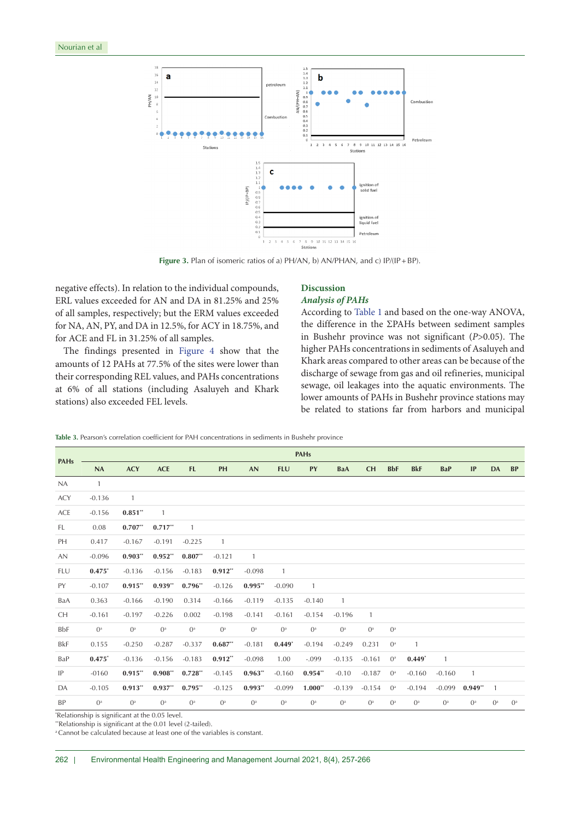<span id="page-5-0"></span>

Figure 3. Plan of isomeric ratios of a) PH/AN, b) AN/PHAN, and c) IP/(IP+BP).

negative effects). In relation to the individual compounds, ERL values exceeded for AN and DA in 81.25% and 25% of all samples, respectively; but the ERM values exceeded for NA, AN, PY, and DA in 12.5%, for ACY in 18.75%, and for ACE and FL in 31.25% of all samples.

The findings presented in [Figure 4](#page-6-0) show that the amounts of 12 PAHs at 77.5% of the sites were lower than their corresponding REL values, and PAHs concentrations at 6% of all stations (including Asaluyeh and Khark stations) also exceeded FEL levels.

# **Discussion** *Analysis of PAHs*

According to Table 1 and based on the one-way ANOVA, the difference in the ΣPAHs between sediment samples in Bushehr province was not significant (*P*>0.05). The higher PAHs concentrations in sediments of Asaluyeh and Khark areas compared to other areas can be because of the discharge of sewage from gas and oil refineries, municipal sewage, oil leakages into the aquatic environments. The lower amounts of PAHs in Bushehr province stations may be related to stations far from harbors and municipal

**Table 3.** Pearson's correlation coefficient for PAH concentrations in sediments in Bushehr province

|             |              |              |            |                |                |           |            | <b>PAHs</b>    |                |              |             |              |              |                |                |           |
|-------------|--------------|--------------|------------|----------------|----------------|-----------|------------|----------------|----------------|--------------|-------------|--------------|--------------|----------------|----------------|-----------|
| <b>PAHs</b> | NA           | <b>ACY</b>   | <b>ACE</b> | <b>FL</b>      | PH             | <b>AN</b> | <b>FLU</b> | PY             | BaA            | <b>CH</b>    | <b>BbF</b>  | <b>BkF</b>   | <b>BaP</b>   | IP             | <b>DA</b>      | <b>BP</b> |
| <b>NA</b>   | $\mathbf{1}$ |              |            |                |                |           |            |                |                |              |             |              |              |                |                |           |
| <b>ACY</b>  | $-0.136$     | $\mathbf{1}$ |            |                |                |           |            |                |                |              |             |              |              |                |                |           |
| ACE         | $-0.156$     | $0.851**$    | 1          |                |                |           |            |                |                |              |             |              |              |                |                |           |
| FL.         | 0.08         | $0.707**$    | $0.717**$  | $\mathbf{1}$   |                |           |            |                |                |              |             |              |              |                |                |           |
| PH          | 0.417        | $-0.167$     | $-0.191$   | $-0.225$       | $\overline{1}$ |           |            |                |                |              |             |              |              |                |                |           |
| AN          | $-0.096$     | $0.903**$    | $0.952**$  | $0.807**$      | $-0.121$       | 1         |            |                |                |              |             |              |              |                |                |           |
| FLU         | $0.475*$     | $-0.136$     | $-0.156$   | $-0.183$       | $0.912**$      | $-0.098$  | 1          |                |                |              |             |              |              |                |                |           |
| PY          | $-0.107$     | $0.915**$    | $0.939**$  | $0.796**$      | $-0.126$       | $0.995**$ | $-0.090$   | $\overline{1}$ |                |              |             |              |              |                |                |           |
| BaA         | 0.363        | $-0.166$     | $-0.190$   | 0.314          | $-0.166$       | $-0.119$  | $-0.135$   | $-0.140$       | $\overline{1}$ |              |             |              |              |                |                |           |
| CH.         | $-0.161$     | $-0.197$     | $-0.226$   | 0.002          | $-0.198$       | $-0.141$  | $-0.161$   | $-0.154$       | $-0.196$       | $\mathbf{1}$ |             |              |              |                |                |           |
| BbF         | $0^{\rm a}$  | $0^a$        | $0^a$      | O <sup>a</sup> | $0^a$          | $0^a$     | $0^a$      | $0^a$          | $0^a$          | $0^a$        | $0^a$       |              |              |                |                |           |
| BkF         | 0.155        | $-0.250$     | $-0.287$   | $-0.337$       | $0.687**$      | $-0.181$  | $0.449*$   | $-0.194$       | $-0.249$       | 0.231        | $0^a$       | $\mathbf{1}$ |              |                |                |           |
| BaP         | $0.475*$     | $-0.136$     | $-0.156$   | $-0.183$       | $0.912**$      | $-0.098$  | 1.00       | $-.099$        | $-0.135$       | $-0.161$     | $0^{\rm a}$ | $0.449*$     | $\mathbf{1}$ |                |                |           |
| IP          | $-0160$      | $0.915**$    | $0.908**$  | $0.728**$      | $-0.145$       | $0.963**$ | $-0.160$   | $0.954**$      | $-0.10$        | $-0.187$     | $0^a$       | $-0.160$     | $-0.160$     | $\overline{1}$ |                |           |
| DA          | $-0.105$     | $0.913**$    | $0.937**$  | $0.795**$      | $-0.125$       | $0.993**$ | $-0.099$   | $1.000**$      | $-0.139$       | $-0.154$     | $0^a$       | $-0.194$     | $-0.099$     | $0.949**$      | $\overline{1}$ |           |
| <b>BP</b>   | $0^a$        | $0^a$        | $0^a$      | $0^a$          | $0^a$          | $0^a$     | $0^a$      | $0^a$          | $0^a$          | $0^a$        | $0^a$       | $0^a$        | $0^a$        | $0^a$          | $0^a$          | $0^a$     |

\* Relationship is significant at the 0.05 level.

\*\*Relationship is significant at the 0.01 level (2-tailed). <sup>a</sup> Cannot be calculated because at least one of the variables is constant.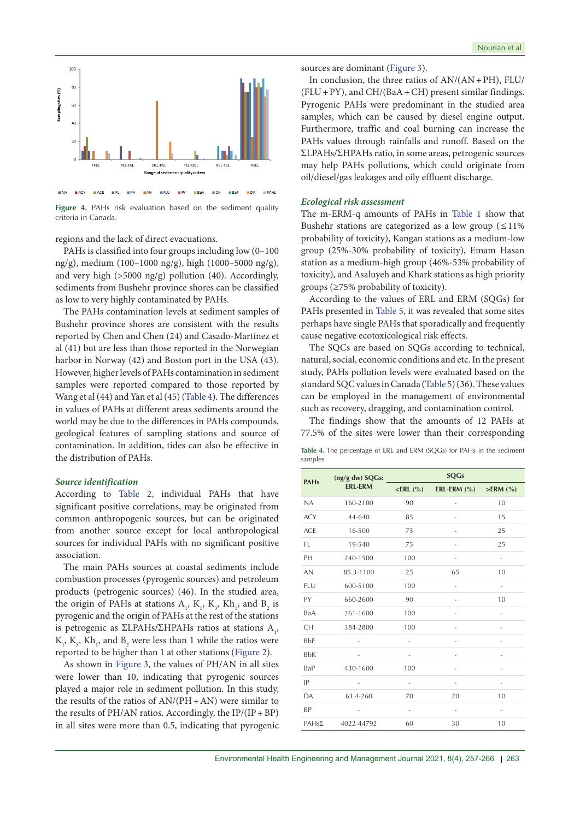<span id="page-6-0"></span>

**Figure 4.** PAHs risk evaluation based on the sediment quality criteria in Canada.

regions and the lack of direct evacuations.

PAHs is classified into four groups including low (0–100 ng/g), medium (100–1000 ng/g), high (1000–5000 ng/g), and very high (>5000 ng/g) pollution (40). Accordingly, sediments from Bushehr province shores can be classified as low to very highly contaminated by PAHs.

The PAHs contamination levels at sediment samples of Bushehr province shores are consistent with the results reported by Chen and Chen (24) and Casado-Martínez et al (41) but are less than those reported in the Norwegian harbor in Norway (42) and Boston port in the USA (43). However, higher levels of PAHs contamination in sediment samples were reported compared to those reported by Wang et al (44) and Yan et al (45)[\(Table 4\)](#page-6-1). The differences in values of PAHs at different areas sediments around the world may be due to the differences in PAHs compounds, geological features of sampling stations and source of contamination. In addition, tides can also be effective in the distribution of PAHs.

#### *Source identification*

According to [Table 2,](#page-4-0) individual PAHs that have significant positive correlations, may be originated from common anthropogenic sources, but can be originated from another source except for local anthropological sources for individual PAHs with no significant positive association.

The main PAHs sources at coastal sediments include combustion processes (pyrogenic sources) and petroleum products (petrogenic sources) (46). In the studied area, the origin of PAHs at stations  $A_1$ ,  $K_1$ ,  $K_3$ ,  $Kh_1$ , and  $B_2$  is pyrogenic and the origin of PAHs at the rest of the stations is petrogenic as  $\Sigma$ LPAHs/ $\Sigma$ HPAHs ratios at stations  $A_1$ ,  $K_1, K_3, Kh_1$ , and  $B_2$  were less than 1 while the ratios were reported to be higher than 1 at other stations ([Figure 2\)](#page-3-0).

As shown in [Figure 3](#page-5-0), the values of PH/AN in all sites were lower than 10, indicating that pyrogenic sources played a major role in sediment pollution. In this study, the results of the ratios of  $AN/(PH+AN)$  were similar to the results of PH/AN ratios. Accordingly, the IP/(IP+BP) in all sites were more than 0.5, indicating that pyrogenic sources are dominant [\(Figure 3](#page-5-0)).

In conclusion, the three ratios of  $AN/(AN+PH)$ , FLU/  $(FLU+PY)$ , and  $CH/(BaA+CH)$  present similar findings. Pyrogenic PAHs were predominant in the studied area samples, which can be caused by diesel engine output. Furthermore, traffic and coal burning can increase the PAHs values through rainfalls and runoff. Based on the ƩLPAHs/ƩHPAHs ratio, in some areas, petrogenic sources may help PAHs pollutions, which could originate from oil/diesel/gas leakages and oily effluent discharge.

# *Ecological risk assessment*

The m-ERM-q amounts of PAHs in Table 1 show that Bushehr stations are categorized as a low group  $(\leq 11\%)$ probability of toxicity), Kangan stations as a medium-low group (25%-30% probability of toxicity), Emam Hasan station as a medium-high group (46%-53% probability of toxicity), and Asaluyeh and Khark stations as high priority groups (≥75% probability of toxicity).

According to the values of ERL and ERM (SQGs) for PAHs presented in [Table 5](#page-7-0), it was revealed that some sites perhaps have single PAHs that sporadically and frequently cause negative ecotoxicological risk effects.

The SQCs are based on SQGs according to technical, natural, social, economic conditions and etc. In the present study, PAHs pollution levels were evaluated based on the standard SQC values in Canada [\(Table 5\)](#page-7-0) (36). These values can be employed in the management of environmental such as recovery, dragging, and contamination control.

The findings show that the amounts of 12 PAHs at 77.5% of the sites were lower than their corresponding

<span id="page-6-1"></span>**Table 4.** The percentage of ERL and ERM (SQGs) for PAHs in the sediment samples

| <b>PAHs</b>  | (ng/g dw) SQGs: |                     | <b>SQGs</b>         |                          |
|--------------|-----------------|---------------------|---------------------|--------------------------|
|              | <b>ERL-ERM</b>  | $\leq$ ERL $(% )$   | ERL-ERM $(\% )$     | $>$ ERM $(\% )$          |
| NA           | 160-2100        | 90                  | L,                  | 10                       |
| <b>ACY</b>   | 44-640          | 85                  |                     | 15                       |
| <b>ACE</b>   | 16-500          | 75                  |                     | 25                       |
| FL           | 19-540          | 75                  |                     | 25                       |
| PH           | 240-1500        | 100                 | $\qquad \qquad -$   | $\overline{\phantom{m}}$ |
| <b>AN</b>    | 85.3-1100       | 25                  | 65                  | 10                       |
| <b>FLU</b>   | 600-5100        | 100                 |                     | L,                       |
| PY           | 660-2600        | 90                  |                     | 10                       |
| BaA          | 261-1600        | 100                 |                     | L,                       |
| <b>CH</b>    | 384-2800        | 100                 |                     |                          |
| <b>BbF</b>   |                 |                     |                     |                          |
| <b>BbK</b>   |                 | ÷,                  | L,                  | $\overline{a}$           |
| BaP          | 430-1600        | 100                 | L,                  |                          |
| IP           |                 | $\equiv$            | ٠                   | ÷,                       |
| DA           | 63.4-260        | 70                  | 20                  | 10                       |
| BP           | ٠               | $\bar{\phantom{a}}$ | $\bar{\phantom{a}}$ | $\bar{\phantom{a}}$      |
| $PAHS\Sigma$ | 4022-44792      | 60                  | 30                  | 10                       |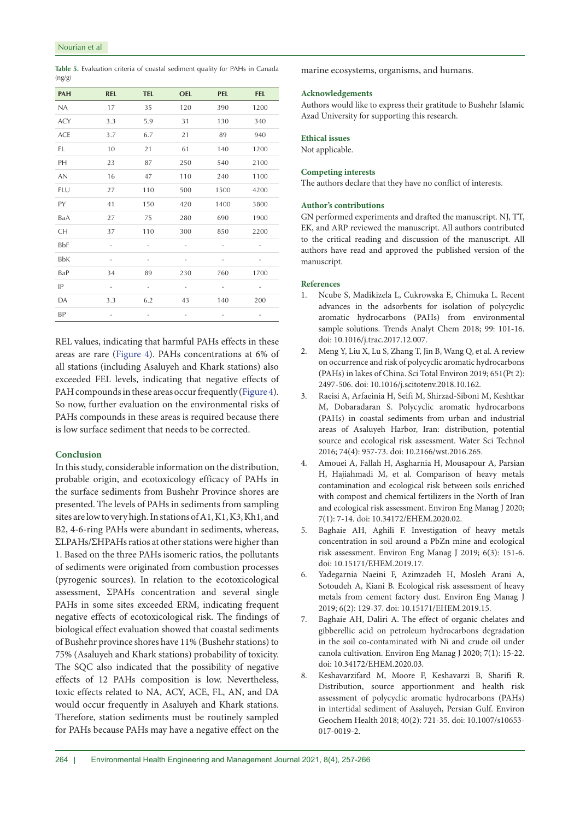<span id="page-7-0"></span>

|        | Table 5. Evaluation criteria of coastal sediment quality for PAHs in Canada |  |  |  |  |  |
|--------|-----------------------------------------------------------------------------|--|--|--|--|--|
| (ng/g) |                                                                             |  |  |  |  |  |

| <b>PAH</b> | <b>REL</b>               | <b>TEL</b>          | <b>OEL</b>               | <b>PEL</b>               | <b>FEL</b> |
|------------|--------------------------|---------------------|--------------------------|--------------------------|------------|
| NA         | 17                       | 35                  | 120                      | 390                      | 1200       |
| <b>ACY</b> | 3.3                      | 5.9                 | 31                       | 130                      | 340        |
| <b>ACE</b> | 3.7                      | 6.7                 | 21                       | 89                       | 940        |
| FL         | 10                       | 21                  | 61                       | 140                      | 1200       |
| PH         | 23                       | 87                  | 250                      | 540                      | 2100       |
| <b>AN</b>  | 16                       | 47                  | 110                      | 240                      | 1100       |
| FLU        | 27                       | 110                 | 500                      | 1500                     | 4200       |
| PY         | 41                       | 150                 | 420                      | 1400                     | 3800       |
| BaA        | 27                       | 75                  | 280                      | 690                      | 1900       |
| СH         | 37                       | 110                 | 300                      | 850                      | 2200       |
| BbF        | ۰                        | ٠                   | $\bar{\phantom{a}}$      | $\bar{\phantom{a}}$      | -          |
| <b>BbK</b> | $\overline{\phantom{m}}$ | ٠                   | $\overline{\phantom{0}}$ | $\overline{\phantom{0}}$ | -          |
| BaP        | 34                       | 89                  | 230                      | 760                      | 1700       |
| IP         | $\overline{\phantom{a}}$ | $\bar{\phantom{a}}$ | $\bar{\phantom{a}}$      | $\overline{\phantom{m}}$ |            |
| DA         | 3.3                      | 6.2                 | 43                       | 140                      | 200        |
| BP         | -                        | ٠                   | ٠                        | -                        | ٠          |

REL values, indicating that harmful PAHs effects in these areas are rare [\(Figure 4](#page-6-0)). PAHs concentrations at 6% of all stations (including Asaluyeh and Khark stations) also exceeded FEL levels, indicating that negative effects of PAH compounds in these areas occur frequently ([Figure 4\)](#page-6-0). So now, further evaluation on the environmental risks of PAHs compounds in these areas is required because there is low surface sediment that needs to be corrected.

# **Conclusion**

In this study, considerable information on the distribution, probable origin, and ecotoxicology efficacy of PAHs in the surface sediments from Bushehr Province shores are presented. The levels of PAHs in sediments from sampling sites are low to very high. In stations of A1, K1, K3, Kh1, and B2, 4-6-ring PAHs were abundant in sediments, whereas,  $\Sigma$ LPAHs/ $\Sigma$ HPAHs ratios at other stations were higher than 1. Based on the three PAHs isomeric ratios, the pollutants of sediments were originated from combustion processes (pyrogenic sources). In relation to the ecotoxicological assessment, **∑PAHs** concentration and several single PAHs in some sites exceeded ERM, indicating frequent negative effects of ecotoxicological risk. The findings of biological effect evaluation showed that coastal sediments of Bushehr province shores have 11% (Bushehr stations) to 75% (Asaluyeh and Khark stations) probability of toxicity. The SQC also indicated that the possibility of negative effects of 12 PAHs composition is low. Nevertheless, toxic effects related to NA, ACY, ACE, FL, AN, and DA would occur frequently in Asaluyeh and Khark stations. Therefore, station sediments must be routinely sampled for PAHs because PAHs may have a negative effect on the

marine ecosystems, organisms, and humans.

# **Acknowledgements**

Authors would like to express their gratitude to Bushehr Islamic Azad University for supporting this research.

# **Ethical issues**

Not applicable.

# **Competing interests**

The authors declare that they have no conflict of interests.

# **Author's contributions**

GN performed experiments and drafted the manuscript. NJ, TT, EK, and ARP reviewed the manuscript. All authors contributed to the critical reading and discussion of the manuscript. All authors have read and approved the published version of the manuscript.

## **References**

- 1. Ncube S, Madikizela L, Cukrowska E, Chimuka L. Recent advances in the adsorbents for isolation of polycyclic aromatic hydrocarbons (PAHs) from environmental sample solutions. Trends Analyt Chem 2018; 99: 101-16. doi: 10.1016/j.trac.2017.12.007.
- 2. Meng Y, Liu X, Lu S, Zhang T, Jin B, Wang Q, et al. A review on occurrence and risk of polycyclic aromatic hydrocarbons (PAHs) in lakes of China. Sci Total Environ 2019; 651(Pt 2): 2497-506. doi: 10.1016/j.scitotenv.2018.10.162.
- 3. Raeisi A, Arfaeinia H, Seifi M, Shirzad-Siboni M, Keshtkar M, Dobaradaran S. Polycyclic aromatic hydrocarbons (PAHs) in coastal sediments from urban and industrial areas of Asaluyeh Harbor, Iran: distribution, potential source and ecological risk assessment. Water Sci Technol 2016; 74(4): 957-73. doi: 10.2166/wst.2016.265.
- 4. Amouei A, Fallah H, Asgharnia H, Mousapour A, Parsian H, Hajiahmadi M, et al. Comparison of heavy metals contamination and ecological risk between soils enriched with compost and chemical fertilizers in the North of Iran and ecological risk assessment. Environ Eng Manag J 2020; 7(1): 7-14. doi: 10.34172/EHEM.2020.02.
- 5. Baghaie AH, Aghili F. Investigation of heavy metals concentration in soil around a PbZn mine and ecological risk assessment. Environ Eng Manag J 2019; 6(3): 151-6. doi: 10.15171/EHEM.2019.17.
- 6. Yadegarnia Naeini F, Azimzadeh H, Mosleh Arani A, Sotoudeh A, Kiani B. Ecological risk assessment of heavy metals from cement factory dust. Environ Eng Manag J 2019; 6(2): 129-37. doi: 10.15171/EHEM.2019.15.
- Baghaie AH, Daliri A. The effect of organic chelates and gibberellic acid on petroleum hydrocarbons degradation in the soil co-contaminated with Ni and crude oil under canola cultivation. Environ Eng Manag J 2020; 7(1): 15-22. doi: 10.34172/EHEM.2020.03.
- 8. Keshavarzifard M, Moore F, Keshavarzi B, Sharifi R. Distribution, source apportionment and health risk assessment of polycyclic aromatic hydrocarbons (PAHs) in intertidal sediment of Asaluyeh, Persian Gulf. Environ Geochem Health 2018; 40(2): 721-35. doi: 10.1007/s10653- 017-0019-2.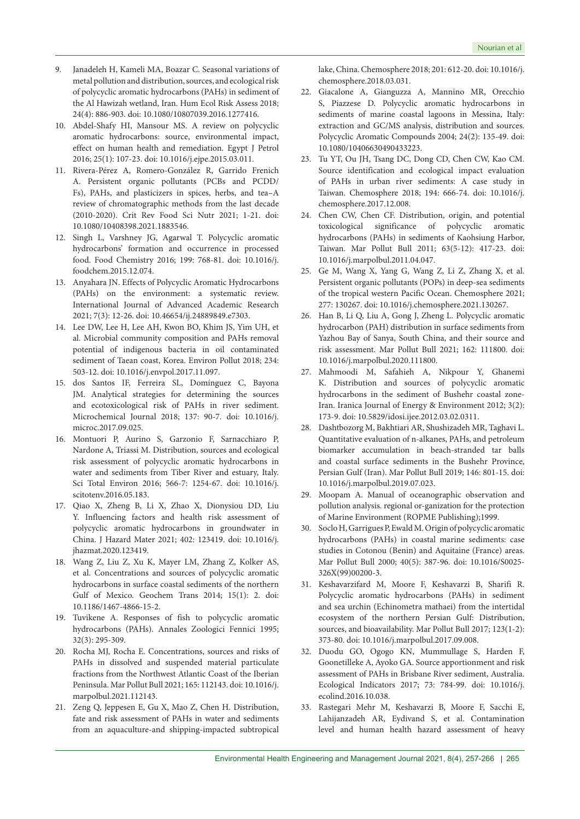- 9. Janadeleh H, Kameli MA, Boazar C. Seasonal variations of metal pollution and distribution, sources, and ecological risk of polycyclic aromatic hydrocarbons (PAHs) in sediment of the Al Hawizah wetland, Iran. Hum Ecol Risk Assess 2018; 24(4): 886-903. doi: 10.1080/10807039.2016.1277416.
- 10. Abdel-Shafy HI, Mansour MS. A review on polycyclic aromatic hydrocarbons: source, environmental impact, effect on human health and remediation. Egypt J Petrol 2016; 25(1): 107-23. doi: 10.1016/j.ejpe.2015.03.011.
- 11. Rivera-Pérez A, Romero-González R, Garrido Frenich A. Persistent organic pollutants (PCBs and PCDD/ Fs), PAHs, and plasticizers in spices, herbs, and tea–A review of chromatographic methods from the last decade (2010-2020). Crit Rev Food Sci Nutr 2021; 1-21. doi: 10.1080/10408398.2021.1883546.
- 12. Singh L, Varshney JG, Agarwal T. Polycyclic aromatic hydrocarbons' formation and occurrence in processed food. Food Chemistry 2016; 199: 768-81. doi: 10.1016/j. foodchem.2015.12.074.
- 13. Anyahara JN. Effects of Polycyclic Aromatic Hydrocarbons (PAHs) on the environment: a systematic review. International Journal of Advanced Academic Research 2021; 7(3): 12-26. doi: 10.46654/ij.24889849.e7303.
- 14. Lee DW, Lee H, Lee AH, Kwon BO, Khim JS, Yim UH, et al. Microbial community composition and PAHs removal potential of indigenous bacteria in oil contaminated sediment of Taean coast, Korea. Environ Pollut 2018; 234: 503-12. doi: 10.1016/j.envpol.2017.11.097.
- 15. dos Santos IF, Ferreira SL, Domínguez C, Bayona JM. Analytical strategies for determining the sources and ecotoxicological risk of PAHs in river sediment. Microchemical Journal 2018; 137: 90-7. doi: 10.1016/j. microc.2017.09.025.
- 16. Montuori P, Aurino S, Garzonio F, Sarnacchiaro P, Nardone A, Triassi M. Distribution, sources and ecological risk assessment of polycyclic aromatic hydrocarbons in water and sediments from Tiber River and estuary, Italy. Sci Total Environ 2016; 566-7: 1254-67. doi: 10.1016/j. scitotenv.2016.05.183.
- 17. Qiao X, Zheng B, Li X, Zhao X, Dionysiou DD, Liu Y. Influencing factors and health risk assessment of polycyclic aromatic hydrocarbons in groundwater in China. J Hazard Mater 2021; 402: 123419. doi: 10.1016/j. jhazmat.2020.123419.
- 18. Wang Z, Liu Z, Xu K, Mayer LM, Zhang Z, Kolker AS, et al. Concentrations and sources of polycyclic aromatic hydrocarbons in surface coastal sediments of the northern Gulf of Mexico. Geochem Trans 2014; 15(1): 2. doi: 10.1186/1467-4866-15-2.
- 19. Tuvikene A. Responses of fish to polycyclic aromatic hydrocarbons (PAHs). Annales Zoologici Fennici 1995; 32(3): 295-309.
- 20. Rocha MJ, Rocha E. Concentrations, sources and risks of PAHs in dissolved and suspended material particulate fractions from the Northwest Atlantic Coast of the Iberian Peninsula. Mar Pollut Bull 2021; 165: 112143. doi: 10.1016/j. marpolbul.2021.112143.
- 21. Zeng Q, Jeppesen E, Gu X, Mao Z, Chen H. Distribution, fate and risk assessment of PAHs in water and sediments from an aquaculture-and shipping-impacted subtropical

lake, China. Chemosphere 2018; 201: 612-20. doi: 10.1016/j. chemosphere.2018.03.031.

- 22. Giacalone A, Gianguzza A, Mannino MR, Orecchio S, Piazzese D. Polycyclic aromatic hydrocarbons in sediments of marine coastal lagoons in Messina, Italy: extraction and GC/MS analysis, distribution and sources. Polycyclic Aromatic Compounds 2004; 24(2): 135-49. doi: 10.1080/10406630490433223.
- 23. Tu YT, Ou JH, Tsang DC, Dong CD, Chen CW, Kao CM. Source identification and ecological impact evaluation of PAHs in urban river sediments: A case study in Taiwan. Chemosphere 2018; 194: 666-74. doi: 10.1016/j. chemosphere.2017.12.008.
- 24. Chen CW, Chen CF. Distribution, origin, and potential toxicological significance of polycyclic aromatic hydrocarbons (PAHs) in sediments of Kaohsiung Harbor, Taiwan. Mar Pollut Bull 2011; 63(5-12): 417-23. doi: 10.1016/j.marpolbul.2011.04.047.
- 25. Ge M, Wang X, Yang G, Wang Z, Li Z, Zhang X, et al. Persistent organic pollutants (POPs) in deep-sea sediments of the tropical western Pacific Ocean. Chemosphere 2021; 277: 130267. doi: 10.1016/j.chemosphere.2021.130267.
- 26. Han B, Li Q, Liu A, Gong J, Zheng L. Polycyclic aromatic hydrocarbon (PAH) distribution in surface sediments from Yazhou Bay of Sanya, South China, and their source and risk assessment. Mar Pollut Bull 2021; 162: 111800. doi: 10.1016/j.marpolbul.2020.111800.
- 27. Mahmoodi M, Safahieh A, Nikpour Y, Ghanemi K. Distribution and sources of polycyclic aromatic hydrocarbons in the sediment of Bushehr coastal zone-Iran. Iranica Journal of Energy & Environment 2012; 3(2): 173-9. doi: 10.5829/idosi.ijee.2012.03.02.0311.
- 28. Dashtbozorg M, Bakhtiari AR, Shushizadeh MR, Taghavi L. Quantitative evaluation of n-alkanes, PAHs, and petroleum biomarker accumulation in beach-stranded tar balls and coastal surface sediments in the Bushehr Province, Persian Gulf (Iran). Mar Pollut Bull 2019; 146: 801-15. doi: 10.1016/j.marpolbul.2019.07.023.
- 29. Moopam A. Manual of oceanographic observation and pollution analysis. regional or-ganization for the protection of Marine Environment (ROPME Publishing);1999.
- 30. Soclo H, Garrigues P, Ewald M. Origin of polycyclic aromatic hydrocarbons (PAHs) in coastal marine sediments: case studies in Cotonou (Benin) and Aquitaine (France) areas. Mar Pollut Bull 2000; 40(5): 387-96. doi: 10.1016/S0025- 326X(99)00200-3.
- 31. Keshavarzifard M, Moore F, Keshavarzi B, Sharifi R. Polycyclic aromatic hydrocarbons (PAHs) in sediment and sea urchin (Echinometra mathaei) from the intertidal ecosystem of the northern Persian Gulf: Distribution, sources, and bioavailability. Mar Pollut Bull 2017; 123(1-2): 373-80. doi: 10.1016/j.marpolbul.2017.09.008.
- 32. Duodu GO, Ogogo KN, Mummullage S, Harden F, Goonetilleke A, Ayoko GA. Source apportionment and risk assessment of PAHs in Brisbane River sediment, Australia. Ecological Indicators 2017; 73: 784-99. doi: 10.1016/j. ecolind.2016.10.038.
- 33. Rastegari Mehr M, Keshavarzi B, Moore F, Sacchi E, Lahijanzadeh AR, Eydivand S, et al. Contamination level and human health hazard assessment of heavy